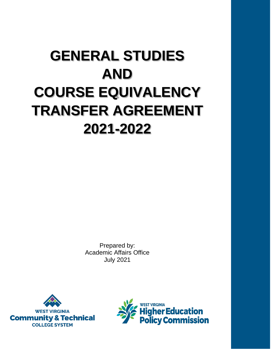# **GENERAL STUDIES AND COURSE EQUIVALENCY TRANSFER AGREEMENT 2021-2022**

Prepared by: Academic Affairs Office July 2021



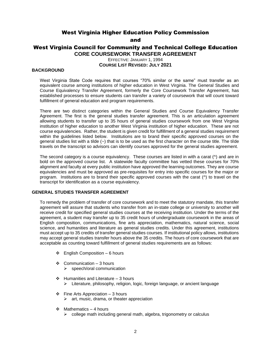# West Virginia Higher Education Policy Commission

and

# West Virginia Council for Community and Technical College Education **CORE COURSEWORK TRANSFER AGREEMENT**

EFFECTIVE: JANUARY 1, 1994 **COURSE LIST REVISED: JULY 2021**

### **BACKGROUND**

West Virginia State Code requires that courses "70% similar or the same" must transfer as an equivalent course among institutions of higher education in West Virginia. The General Studies and Course Equivalency Transfer Agreement, formerly the Core Coursework Transfer Agreement, has established processes to ensure students can transfer a variety of coursework that will count toward fulfillment of general education and program requirements.

There are two distinct categories within the General Studies and Course Equivalency Transfer Agreement. The first is the general studies transfer agreement. This is an articulation agreement allowing students to transfer up to 35 hours of general studies coursework from one West Virginia institution of higher education to another West Virginia institution of higher education. These are not course equivalencies. Rather, the student is given credit for fulfillment of a general studies requirement within the guidelines listed below. Institutions are to brand their specific approved courses on the general studies list with a tilde (~) that is to be used as the first character on the course title. The tilde travels on the transcript so advisors can identify courses approved for the general studies agreement.

The second category is a course equivalency. These courses are listed in with a carat ( $\land$ ) and are in bold on the approved course list. A statewide faculty committee has vetted these courses for 70% alignment and faculty at every public institution have approved the learning outcomes. They are course equivalencies and must be approved as pre-requisites for entry into specific courses for the major or program. Institutions are to brand their specific approved courses with the carat (^) to travel on the transcript for identification as a course equivalency.

### **GENERAL STUDIES TRANSFER AGREEMENT**

To remedy the problem of transfer of core coursework and to meet the statutory mandate, this transfer agreement will assure that students who transfer from an in-state college or university to another will receive credit for specified general studies courses at the receiving institution. Under the terms of the agreement, a student may transfer up to 35 credit hours of undergraduate coursework in the areas of English composition, communications, fine arts appreciation, mathematics, natural science, social science, and humanities and literature as general studies credits. Under this agreement, institutions must accept up to 35 credits of transfer general studies courses. If institutional policy allows, institutions may accept general studies transfer hours above the 35 credits. The hours of core coursework that are acceptable as counting toward fulfillment of general studies requirements are as follows:

- $\div$  English Composition 6 hours
- ❖ Communication 3 hours ➢ speech/oral communication
- $\div$  Humanities and Literature 3 hours ➢ Literature, philosophy, religion, logic, foreign language, or ancient language
- $\div$  Fine Arts Appreciation 3 hours  $\triangleright$  art, music, drama, or theater appreciation
- $\div$  Mathematics 4 hours
	- $\triangleright$  college math including general math, algebra, trigonometry or calculus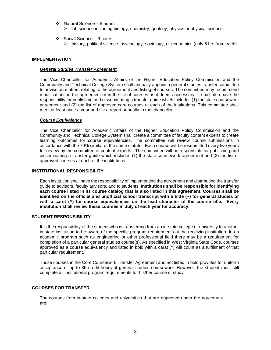- ❖ Natural Science 8 hours
	- ➢ lab science including biology, chemistry, geology, physics or physical science
- ❖ Social Science 9 hours
	- ➢ history, political science, psychology, sociology, or economics (only 6 hrs from each)

#### **IMPLEMENTATION**

#### *General Studies Transfer Agreement*

The Vice Chancellor for Academic Affairs of the Higher Education Policy Commission and the Community and Technical College System shall annually appoint a general studies transfer committee to advise on matters relating to the agreement and listing of courses. The committee may recommend modifications in the agreement or in the list of courses as it deems necessary. It shall also have the responsibility for publishing and disseminating a transfer guide which includes (1) the state coursework agreement and (2) the list of approved core courses at each of the institutions. This committee shall meet at least once a year and file a report annually to the chancellor.

#### *Course Equivalency*

The Vice Chancellor for Academic Affairs of the Higher Education Policy Commission and the Community and Technical College System shall create a committee of faculty content experts to create learning outcomes for course equivalencies. The committee will review course submissions in accordance with the 70% similar or the same statute. Each course will be resubmitted every five years for review by the committee of content experts. The committee will be responsible for publishing and disseminating a transfer guide which includes (1) the state coursework agreement and (2) the list of approved courses at each of the institutions.

### I**NSTITUTIONAL RESPONSIBILITY**

Each institution shall have the responsibility of implementing the agreement and distributing the transfer guide to advisors, faculty advisors, and to students. **Institutions shall be responsible for identifying each course listed in its course catalog that is also listed in this agreement. Courses shall be identified on the official and unofficial school transcript with a tilde (~) for general studies or with a caret (^) for course equivalencies on the lead character of the course title. Every institution shall review these courses in July of each year for accuracy.**

### **STUDENT RESPONSIBILITY**

It is the responsibility of the student who is transferring from an in-state college or university to another in-state institution to be aware of the specific program requirements at the receiving institution. In an academic program such as engineering or other professional field there may be a requirement for completion of a particular general studies course(s). As specified in West Virginia State Code, courses approved as a course equivalency and listed in bold with a carat (^) will count as a fulfillment of that particular requirement.

Those courses in the Core Coursework Transfer Agreement and not listed in bold provides for uniform acceptance of up to 35 credit hours of general studies coursework. However, the student must still complete all institutional program requirements for his/her course of study.

### **COURSES FOR TRANSFER**

The courses from in-state colleges and universities that are approved under the agreement are: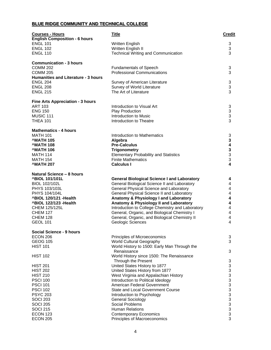# **BLUE RIDGE COMMUNITY AND TECHNICAL COLLEGE**

| <b>Courses - Hours</b><br><b>English Composition - 6 hours</b> | <b>Title</b>                                                                          | <b>Credit</b>             |
|----------------------------------------------------------------|---------------------------------------------------------------------------------------|---------------------------|
| <b>ENGL 101</b>                                                | Written English                                                                       | 3                         |
| <b>ENGL 102</b>                                                | Written English II                                                                    | 3                         |
| <b>ENGL 110</b>                                                | <b>Technical Writing and Communication</b>                                            | 3                         |
| <b>Communication - 3 hours</b><br><b>COMM 202</b>              | <b>Fundamentals of Speech</b>                                                         | 3                         |
| <b>COMM 205</b>                                                | <b>Professional Communications</b>                                                    | 3                         |
| Humanities and Literature - 3 hours                            |                                                                                       |                           |
| <b>ENGL 204</b>                                                | Survey of American Literature                                                         | 3                         |
| <b>ENGL 208</b>                                                | Survey of World Literature                                                            | 3                         |
| <b>ENGL 215</b>                                                | The Art of Literature                                                                 | 3                         |
| <b>Fine Arts Appreciation - 3 hours</b>                        |                                                                                       |                           |
| <b>ART 103</b>                                                 | Introduction to Visual Art                                                            | 3                         |
| <b>ENG 150</b>                                                 | Play Production                                                                       | $\ensuremath{\mathsf{3}}$ |
| MUSIC 111<br><b>THEA 101</b>                                   | Introduction to Music<br>Introduction to Theatre                                      | 3<br>3                    |
|                                                                |                                                                                       |                           |
| <b>Mathematics - 4 hours</b><br><b>MATH 101</b>                | Introduction to Mathematics                                                           | 3                         |
| <b>^MATH 105</b>                                               | Algebra                                                                               | 3                         |
| ^MATH 108                                                      | <b>Pre-Calculus</b>                                                                   | 4                         |
| ^MATH 106                                                      | <b>Trigonometry</b>                                                                   | $\frac{3}{3}$             |
| MATH 114                                                       | <b>Elementary Probability and Statistics</b>                                          |                           |
| <b>MATH 154</b>                                                | <b>Finite Mathematics</b>                                                             | 3                         |
| <b>MATH 207</b>                                                | <b>Calculus I</b>                                                                     | 4                         |
| Natural Science - 8 hours                                      |                                                                                       |                           |
| <b>^BIOL 101/101L</b>                                          | <b>General Biological Science I and Laboratory</b>                                    | 4                         |
| BIOL 102/102L<br>PHYS 103/103L                                 | General Biological Science II and Laboratory                                          | 4<br>4                    |
| PHYS 104/104L                                                  | General Physical Science and Laboratory<br>General Physical Science II and Laboratory | 4                         |
| ^BIOL 120/121 - Health                                         | Anatomy & Physiology I and Laboratory                                                 | 4                         |
| <b>^BIOL 122/123 - Health</b>                                  | Anatomy & Physiology II and Laboratory                                                | 4                         |
| CHEM 125/125L                                                  | Introduction to College Chemistry and Laboratory                                      | $\overline{\mathbf{4}}$   |
| <b>CHEM 127</b>                                                | General, Organic, and Biological Chemistry I                                          | 4                         |
| <b>CHEM 128</b>                                                | General, Organic, and Biological Chemistry II                                         | 4                         |
| <b>GEOL 101</b>                                                | Geologic Sciences                                                                     | 4                         |
| <b>Social Science - 9 hours</b>                                |                                                                                       |                           |
| <b>ECON 206</b><br><b>GEOG 105</b>                             | Principles of Microeconomics<br><b>World Cultural Geography</b>                       | 3<br>3                    |
| <b>HIST 101</b>                                                | World History to 1500: Early Man Through the                                          |                           |
| <b>HIST 102</b>                                                | Renaissance<br>World History since 1500: The Renaissance                              | 3                         |
|                                                                | Through the Present                                                                   | 3                         |
| <b>HIST 201</b>                                                | United States History to 1877                                                         | 3                         |
| <b>HIST 202</b>                                                | United States History from 1877                                                       | 3                         |
| <b>HIST 210</b><br><b>PSCI 100</b>                             | West Virginia and Appalachian History<br>Introduction to Political Ideology           | 3<br>3                    |
| <b>PSCI 101</b>                                                | American Federal Government                                                           | 3                         |
| <b>PSCI 102</b>                                                | <b>State and Local Government Course</b>                                              | 3                         |
| <b>PSYC 203</b>                                                | Introduction to Psychology                                                            | 3                         |
| <b>SOCI 203</b>                                                | <b>General Sociology</b>                                                              | 3                         |
| <b>SOCI 205</b>                                                | Social Problems                                                                       | 3                         |
| <b>SOCI 215</b>                                                | <b>Human Relations</b>                                                                | 3                         |
| <b>ECON 123</b><br><b>ECON 205</b>                             | <b>Contemporary Economics</b><br>Principles of Macroeconomics                         | 3<br>3                    |
|                                                                |                                                                                       |                           |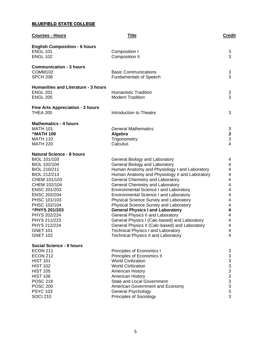# **BLUEFIELD STATE COLLEGE**

| <b>Courses - Hours</b>                     | <b>Title</b>                                                               | <b>Credit</b>                                      |
|--------------------------------------------|----------------------------------------------------------------------------|----------------------------------------------------|
| <b>English Composition - 6 hours</b>       |                                                                            |                                                    |
| <b>ENGL 101</b>                            | Composition I                                                              | 3                                                  |
| <b>ENGL 102</b>                            | <b>Composition II</b>                                                      | 3                                                  |
| <b>Communication - 3 hours</b>             |                                                                            |                                                    |
| COMM102                                    | <b>Basic Communications</b>                                                | 3                                                  |
| <b>SPCH 208</b>                            | <b>Fundamentals of Speech</b>                                              | 3                                                  |
| <b>Humanities and Literature - 3 hours</b> |                                                                            |                                                    |
| <b>ENGL 201</b>                            | <b>Humanistic Tradition</b>                                                | 3                                                  |
| <b>ENGL 205</b>                            | <b>Modern Tradition</b>                                                    | 3                                                  |
| <b>Fine Arts Appreciation - 3 hours</b>    |                                                                            |                                                    |
| <b>THEA 200</b>                            | Introduction to Theatre                                                    | 3                                                  |
| <b>Mathematics - 4 hours</b>               |                                                                            |                                                    |
| <b>MATH 101</b>                            | <b>General Mathematics</b>                                                 | 3                                                  |
| <b>MATH 109</b>                            | Algebra                                                                    | $\mathbf{3}$                                       |
| <b>MATH 110</b>                            | Trigonometry                                                               | 3                                                  |
| <b>MATH 220</b>                            | Calculus                                                                   | $\overline{4}$                                     |
| <b>Natural Science - 8 hours</b>           |                                                                            |                                                    |
| BIOL 101/103                               | General Biology and Laboratory                                             | 4                                                  |
| BIOL 102/104                               | General Biology and Laboratory                                             | 4                                                  |
| BIOL 210/211                               | Human Anatomy and Physiology I and Laboratory                              | 4                                                  |
| BIOL 212/213                               | Human Anatomy and Physiology II and Laboratory                             | 4                                                  |
| CHEM 101/103                               | General Chemistry and Laboratory                                           | $\overline{\mathbf{4}}$<br>$\overline{\mathbf{4}}$ |
| CHEM 102/104<br>ENSC 201/203               | General Chemistry and Laboratory<br>Environmental Science I and Laboratory | $\overline{\mathbf{4}}$                            |
| ENSC 202/204                               | Environmental Science I and Laboratory                                     | $\overline{\mathbf{4}}$                            |
| PHSC 101/103                               | Physical Science Survey and Laboratory                                     | $\overline{\mathbf{4}}$                            |
| PHSC 102/104                               | Physical Science Survey and Laboratory                                     | $\overline{\mathbf{4}}$                            |
| <b>^PHYS 201/203</b>                       | <b>General Physics I and Laboratory</b>                                    | 4                                                  |
| PHYS 202/224                               | General Physics II and Laboratory                                          | $\overline{\mathbf{4}}$                            |
| PHYS 211/223                               | General Physics I (Calc-based) and Laboratory                              | 4                                                  |
| PHYS 212/224                               | General Physics II (Calc-based) and Laboratory                             | 4                                                  |
| GNET 101                                   | <b>Technical Physics I and Laboratory</b>                                  | 4                                                  |
| <b>GNET 102</b>                            | <b>Technical Physics II and Laboratory</b>                                 | 4                                                  |
| <b>Social Science - 9 hours</b>            |                                                                            |                                                    |
| <b>ECON 211</b>                            | Principles of Economics I                                                  | 3                                                  |
| <b>ECON 212</b>                            | Principles of Economics II                                                 | $\ensuremath{\mathsf{3}}$                          |
| <b>HIST 101</b>                            | <b>World Civilization</b>                                                  | $\mathsf 3$                                        |
| <b>HIST 102</b>                            | <b>World Civilization</b>                                                  | $\begin{array}{c}\n3 \\ 3 \\ 3 \\ 3\n\end{array}$  |
| <b>HIST 105</b>                            | American History                                                           |                                                    |
| <b>HIST 106</b>                            | American History                                                           |                                                    |
| <b>POSC 218</b>                            | <b>State and Local Government</b>                                          |                                                    |
| <b>POSC 200</b>                            | American Government and Economy                                            |                                                    |
| <b>PSYC 103</b>                            | <b>General Psychology</b>                                                  | 3                                                  |
| <b>SOCI 210</b>                            | <b>Principles of Sociology</b>                                             | 3                                                  |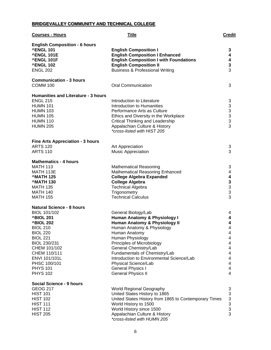# **BRIDGEVALLEY COMMUNITY AND TECHNICAL COLLEGE**

| <b>Courses - Hours</b>                                                                                                                                                                                                                                                   | <b>Title</b>                                                                                                                                                                                                                                                                                                                                                                             | <b>Credit</b>                                                          |
|--------------------------------------------------------------------------------------------------------------------------------------------------------------------------------------------------------------------------------------------------------------------------|------------------------------------------------------------------------------------------------------------------------------------------------------------------------------------------------------------------------------------------------------------------------------------------------------------------------------------------------------------------------------------------|------------------------------------------------------------------------|
| <b>English Composition - 6 hours</b><br><b>^ENGL 101</b><br><b>^ENGL 101E</b><br>^ENGL 101F<br><b>^ENGL 102</b><br><b>ENGL 202</b>                                                                                                                                       | <b>English Composition I</b><br><b>English Composition I Enhanced</b><br><b>English Composition I with Foundations</b><br><b>English Composition II</b><br><b>Business &amp; Professional Writing</b>                                                                                                                                                                                    | 3<br>4<br>4<br>3<br>3                                                  |
| <b>Communication - 3 hours</b><br><b>COMM 100</b>                                                                                                                                                                                                                        | <b>Oral Communication</b>                                                                                                                                                                                                                                                                                                                                                                | 3                                                                      |
| <b>Humanities and Literature - 3 hours</b><br><b>ENGL 215</b><br><b>HUMN 101</b><br><b>HUMN 103</b><br><b>HUMN 105</b><br><b>HUMN 110</b><br><b>HUMN 205</b>                                                                                                             | Introduction to Literature<br>Introduction to Humanities<br>Performance Arts as Culture<br>Ethics and Diversity in the Workplace<br>Critical Thinking and Leadership<br>Appalachian Culture & History<br>*cross-listed with HIST 205                                                                                                                                                     | 3<br>3<br>$\begin{array}{c} 3 \\ 3 \\ 3 \end{array}$<br>3              |
| <b>Fine Arts Appreciation - 3 hours</b><br><b>ARTS 120</b><br><b>ARTS 110</b>                                                                                                                                                                                            | Art Appreciation<br><b>Music Appreciation</b>                                                                                                                                                                                                                                                                                                                                            | 3<br>3                                                                 |
| <b>Mathematics - 4 hours</b><br><b>MATH 113</b><br>MATH 113E<br><b>MATH 125</b><br><b>MATH 130</b><br><b>MATH 135</b><br><b>MATH 140</b><br><b>MATH 155</b>                                                                                                              | <b>Mathematical Reasoning</b><br><b>Mathematical Reasoning Enhanced</b><br><b>College Algebra Expanded</b><br><b>College Algebra</b><br><b>Technical Algebra</b><br>Trigonometry<br><b>Technical Calculus</b>                                                                                                                                                                            | 3<br>4<br>4<br>$\begin{array}{c} 3 \\ 3 \\ 3 \end{array}$<br>3         |
| <b>Natural Science - 8 hours</b><br>BIOL 101/102<br><b>^BIOL 201</b><br><b>^BIOL 202</b><br><b>BIOL 210</b><br><b>BIOL 220</b><br><b>BIOL 221</b><br>BIOL 230/231<br>CHEM 101/102<br>CHEM 110/111<br>ENVI 101/101L<br>PHSC 100/101<br><b>PHYS 101</b><br><b>PHYS 102</b> | General Biology/Lab<br>Human Anatomy & Physiology I<br><b>Human Anatomy &amp; Physiology II</b><br>Human Anatomy & Physiology<br>Human Anatomy<br>Human Physiology<br>Principles of Microbiology<br>General Chemistry/Lab<br>Fundamentals of Chemistry/Lab<br>Introduction to Environmental Science/Lab<br>Physical Science/Lab<br><b>General Physics I</b><br><b>General Physics II</b> | 4<br>4<br>4<br>4<br>4<br>4<br>4<br>4<br>4<br>4<br>4<br>4<br>4          |
| <b>Social Science - 9 hours</b><br><b>GEOG 217</b><br><b>HIST 101</b><br><b>HIST 102</b><br><b>HIST 111</b><br><b>HIST 112</b><br><b>HIST 205</b>                                                                                                                        | World Regional Geography<br>United States History to 1865<br>United States History from 1865 to Contemporary Times<br>World History to 1500<br>World History since 1500<br>Appalachian Culture & History<br>*cross-listed with HUMN 205                                                                                                                                                  | 3<br>$\mathfrak{S}$<br>$\begin{array}{c} 3 \\ 3 \\ 3 \end{array}$<br>3 |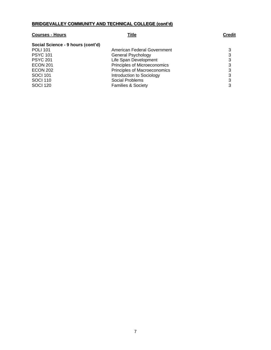# **BRIDGEVALLEY COMMUNITY AND TECHNICAL COLLEGE (cont'd)**

| <b>Courses - Hours</b>            | Title                         | <b>Credit</b> |
|-----------------------------------|-------------------------------|---------------|
| Social Science - 9 hours (cont'd) |                               |               |
| <b>POLI 101</b>                   | American Federal Government   | 3             |
| <b>PSYC 101</b>                   | General Psychology            | 3             |
| <b>PSYC 201</b>                   | Life Span Development         | 3             |
| <b>ECON 201</b>                   | Principles of Microeconomics  | 3             |
| <b>ECON 202</b>                   | Principles of Macroeconomics  | 3             |
| <b>SOCI 101</b>                   | Introduction to Sociology     | 3             |
| <b>SOCI 110</b>                   | Social Problems               | 3             |
| <b>SOCI 120</b>                   | <b>Families &amp; Society</b> | 3             |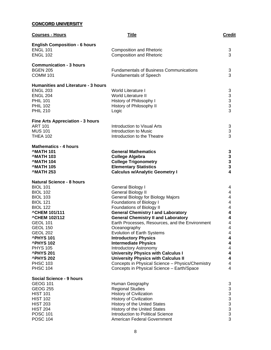# **CONCORD UNIVERSITY**

| <b>Courses - Hours</b>                            | <b>Title</b>                                                          | <b>Credit</b>                                     |
|---------------------------------------------------|-----------------------------------------------------------------------|---------------------------------------------------|
| <b>English Composition - 6 hours</b>              |                                                                       |                                                   |
| <b>ENGL 101</b>                                   | <b>Composition and Rhetoric</b>                                       | 3                                                 |
| <b>ENGL 102</b>                                   | <b>Composition and Rhetoric</b>                                       | 3                                                 |
|                                                   |                                                                       |                                                   |
| <b>Communication - 3 hours</b><br><b>BGEN 205</b> | <b>Fundamentals of Business Communications</b>                        |                                                   |
| <b>COMM 101</b>                                   | <b>Fundamentals of Speech</b>                                         | 3<br>3                                            |
|                                                   |                                                                       |                                                   |
| <b>Humanities and Literature - 3 hours</b>        |                                                                       |                                                   |
| <b>ENGL 203</b>                                   | <b>World Literature I</b>                                             | 3                                                 |
| <b>ENGL 204</b>                                   | <b>World Literature II</b>                                            |                                                   |
| <b>PHIL 101</b>                                   | History of Philosophy I                                               |                                                   |
| <b>PHIL 102</b><br><b>PHIL 210</b>                | History of Philosophy II<br>Logic                                     | $\begin{array}{c} 3 \\ 3 \\ 3 \end{array}$        |
|                                                   |                                                                       |                                                   |
| <b>Fine Arts Appreciation - 3 hours</b>           |                                                                       |                                                   |
| <b>ART 101</b>                                    | Introduction to Visual Arts                                           | 3                                                 |
| <b>MUS 101</b>                                    | Introduction to Music                                                 | 3<br>3                                            |
| <b>THEA 102</b>                                   | Introduction to the Theatre                                           |                                                   |
| <b>Mathematics - 4 hours</b>                      |                                                                       |                                                   |
| <b>MATH 101</b>                                   | <b>General Mathematics</b>                                            | 3                                                 |
| <b>MATH 103</b>                                   | <b>College Algebra</b>                                                |                                                   |
| <b>MATH 104</b>                                   | <b>College Trigonometry</b>                                           | $\begin{array}{c} 3 \\ 3 \\ 3 \end{array}$        |
| <b>^MATH 105</b><br><b>MATH 253</b>               | <b>Elementary Statistics</b><br><b>Calculus w/Analytic Geometry I</b> | $\overline{\mathbf{4}}$                           |
|                                                   |                                                                       |                                                   |
| <b>Natural Science - 8 hours</b>                  |                                                                       |                                                   |
| <b>BIOL 101</b>                                   | General Biology I                                                     | 4                                                 |
| <b>BIOL 102</b><br><b>BIOL 103</b>                | <b>General Biology II</b>                                             | 4<br>4                                            |
| <b>BIOL 121</b>                                   | General Biology for Biology Majors<br><b>Foundations of Biology I</b> | 4                                                 |
| <b>BIOL 122</b>                                   | <b>Foundations of Biology II</b>                                      | 4                                                 |
| <b>^CHEM 101/111</b>                              | <b>General Chemistry I and Laboratory</b>                             | 4                                                 |
| <b>^CHEM 102/112</b>                              | <b>General Chemistry II and Laboratory</b>                            | 4                                                 |
| <b>GEOL 101</b>                                   | Earth Processes, Resources, and the Environment                       | 4                                                 |
| <b>GEOL 150</b>                                   | Oceanography                                                          | 4                                                 |
| <b>GEOL 202</b><br><b>^PHYS 101</b>               | <b>Evolution of Earth Systems</b><br><b>Introductory Physics</b>      | 4<br>4                                            |
| <b>^PHYS102</b>                                   | <b>Intermediate Physics</b>                                           | 4                                                 |
| <b>PHYS 105</b>                                   | <b>Introductory Astronomy</b>                                         | 4                                                 |
| <b>^PHYS 201</b>                                  | <b>University Physics with Calculus I</b>                             | 4                                                 |
| <b>^PHYS 202</b>                                  | <b>University Physics with Calculus II</b>                            | $\overline{\mathbf{4}}$                           |
| <b>PHSC 103</b>                                   | Concepts in Physical Science - Physics/Chemistry                      | 4                                                 |
| <b>PHSC 104</b>                                   | Concepts in Physical Science - Earth/Space                            | 4                                                 |
| Social Science - 9 hours                          |                                                                       |                                                   |
| <b>GEOG 101</b>                                   | Human Geography                                                       | 3                                                 |
| <b>GEOG 255</b>                                   | <b>Regional Studies</b>                                               | 3                                                 |
| <b>HIST 101</b>                                   | <b>History of Civilization</b>                                        |                                                   |
| <b>HIST 102</b>                                   | <b>History of Civilization</b>                                        |                                                   |
| <b>HIST 203</b><br><b>HIST 204</b>                | History of the United States<br>History of the United States          |                                                   |
| <b>POSC 101</b>                                   | Introduction to Political Science                                     | $\begin{array}{c}\n3 \\ 3 \\ 3 \\ 3\n\end{array}$ |
| <b>POSC 104</b>                                   | American Federal Government                                           | 3                                                 |
|                                                   |                                                                       |                                                   |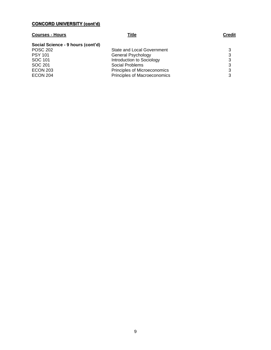### **CONCORD UNIVERSITY (cont'd)**

# **Courses - Hours Title Credit Social Science - 9 hours (cont'd)** POSC 202 **State and Local Government** 3<br>PSY 101 **State and State Accord Server 3** General Psychology SOC 101 Introduction to Sociology 3<br>SOC 201 3<br>3 SOC 201 Social Problems<br>
ECON 203 Principles of Micr ECON 203 **Principles of Microeconomics** 3<br>ECON 204 **Principles of Macroeconomics** 3 Principles of Macroeconomics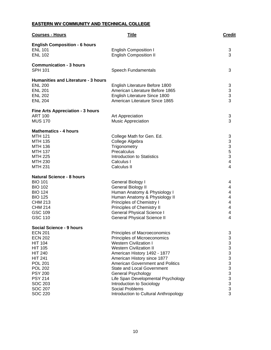# **EASTERN WV COMMUNITY AND TECHNICAL COLLEGE**

| <b>Courses - Hours</b>                                                                                                                                                                                                                                             | <b>Title</b>                                                                                                                                                                                                                                                                                                                                                                                                                               | <b>Credit</b>                                                                                                          |
|--------------------------------------------------------------------------------------------------------------------------------------------------------------------------------------------------------------------------------------------------------------------|--------------------------------------------------------------------------------------------------------------------------------------------------------------------------------------------------------------------------------------------------------------------------------------------------------------------------------------------------------------------------------------------------------------------------------------------|------------------------------------------------------------------------------------------------------------------------|
| <b>English Composition - 6 hours</b><br><b>ENL 101</b><br><b>ENL 102</b>                                                                                                                                                                                           | <b>English Composition I</b><br><b>English Composition II</b>                                                                                                                                                                                                                                                                                                                                                                              | 3<br>3                                                                                                                 |
| <b>Communication - 3 hours</b><br><b>SPH 101</b>                                                                                                                                                                                                                   | Speech Fundamentals                                                                                                                                                                                                                                                                                                                                                                                                                        | 3                                                                                                                      |
| <b>Humanities and Literature - 3 hours</b><br><b>ENL 200</b><br><b>ENL 201</b><br><b>ENL 202</b><br><b>ENL 204</b>                                                                                                                                                 | English Literature Before 1800<br>American Literature Before 1865<br>English Literature Since 1800<br>American Literature Since 1865                                                                                                                                                                                                                                                                                                       | 3<br>$\frac{3}{3}$<br>3                                                                                                |
| <b>Fine Arts Appreciation - 3 hours</b><br><b>ART 100</b><br><b>MUS 170</b>                                                                                                                                                                                        | Art Appreciation<br>Music Appreciation                                                                                                                                                                                                                                                                                                                                                                                                     | 3<br>3                                                                                                                 |
| <b>Mathematics - 4 hours</b><br><b>MTH 121</b><br><b>MTH 135</b><br><b>MTH 136</b><br><b>MTH 137</b><br><b>MTH 225</b><br><b>MTH 230</b><br><b>MTH 231</b>                                                                                                         | College Math for Gen. Ed.<br>College Algebra<br>Trigonometry<br>Precalculus<br>Introduction to Statistics<br>Calculus I<br>Calculus II                                                                                                                                                                                                                                                                                                     | 3<br>3<br>$\begin{array}{c} 3 \\ 5 \\ 3 \end{array}$<br>$\overline{\mathbf{4}}$<br>$\overline{\mathbf{4}}$             |
| <b>Natural Science - 8 hours</b><br><b>BIO 101</b><br><b>BIO 102</b><br><b>BIO 124</b><br><b>BIO 125</b><br><b>CHM 213</b><br><b>CHM 214</b><br><b>GSC 109</b><br><b>GSC 110</b>                                                                                   | General Biology I<br><b>General Biology II</b><br>Human Anatomy & Physiology I<br>Human Anatomy & Physiology II<br>Principles of Chemistry I<br>Principles of Chemistry II<br><b>General Physical Science I</b><br><b>General Physical Science II</b>                                                                                                                                                                                      | 4<br>4<br>4<br>4<br>4<br>4<br>4<br>$\overline{4}$                                                                      |
| Social Science - 9 hours<br><b>ECN 201</b><br><b>ECN 202</b><br><b>HIT 104</b><br><b>HIT 105</b><br><b>HIT 240</b><br><b>HIT 241</b><br><b>POL 201</b><br><b>POL 202</b><br><b>PSY 200</b><br><b>PSY 214</b><br><b>SOC 203</b><br><b>SOC 207</b><br><b>SOC 220</b> | Principles of Macroeconomics<br>Principles of Microeconomics<br><b>Western Civilization I</b><br><b>Western Civilization II</b><br>American History 1492 - 1877<br>American History since 1877<br><b>American Government and Politics</b><br><b>State and Local Government</b><br><b>General Psychology</b><br>Life Span Developmental Psychology<br>Introduction to Sociology<br>Social Problems<br>Introduction to Cultural Anthropology | 3<br>$\ensuremath{\mathsf{3}}$<br>$\frac{3}{3}$<br>3<br>3<br>3<br>$\begin{array}{c} 3 \\ 3 \\ 3 \end{array}$<br>3<br>3 |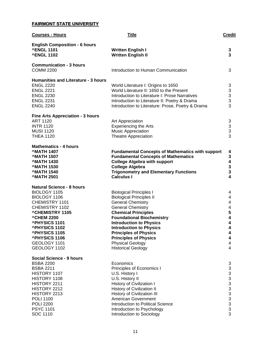# **FAIRMONT STATE UNIVERSITY**

| <b>Courses - Hours</b>                                                                                                                                                                                                                                                              | <b>Title</b>                                                                                                                                                                                                                                                                                                                                                                            | <b>Credit</b>                                                                               |
|-------------------------------------------------------------------------------------------------------------------------------------------------------------------------------------------------------------------------------------------------------------------------------------|-----------------------------------------------------------------------------------------------------------------------------------------------------------------------------------------------------------------------------------------------------------------------------------------------------------------------------------------------------------------------------------------|---------------------------------------------------------------------------------------------|
| <b>English Composition - 6 hours</b><br><b>^ENGL 1101</b><br><b>^ENGL 1102</b>                                                                                                                                                                                                      | <b>Written English I</b><br><b>Written English II</b>                                                                                                                                                                                                                                                                                                                                   | 3<br>3                                                                                      |
| <b>Communication - 3 hours</b><br><b>COMM 2200</b>                                                                                                                                                                                                                                  | Introduction to Human Communication                                                                                                                                                                                                                                                                                                                                                     | 3                                                                                           |
| <b>Humanities and Literature - 3 hours</b><br><b>ENGL 2220</b><br><b>ENGL 2221</b><br><b>ENGL 2230</b><br><b>ENGL 2231</b><br><b>ENGL 2240</b>                                                                                                                                      | World Literature I: Origins to 1650<br>World Literature II: 1650 to the Present<br>Introduction to Literature I: Prose Narratives<br>Introduction to Literature II: Poetry & Drama<br>Introduction to Literature: Prose, Poetry & Drama                                                                                                                                                 | $\ensuremath{\mathsf{3}}$<br>$\begin{array}{c} 3 \\ 3 \\ 3 \end{array}$<br>3                |
| <b>Fine Arts Appreciation - 3 hours</b><br><b>ART 1120</b><br><b>INTR 1120</b><br><b>MUSI 1120</b><br><b>THEA 1120</b>                                                                                                                                                              | Art Appreciation<br><b>Experiencing the Arts</b><br><b>Music Appreciation</b><br><b>Theatre Appreciation</b>                                                                                                                                                                                                                                                                            | 3<br>3<br>3<br>3                                                                            |
| <b>Mathematics - 4 hours</b><br><b>MATH 1407</b><br><b>MATH 1507</b><br><b>MATH 1430</b><br><b>MATH 1530</b><br><b>MATH 1540</b><br><b>MATH 2501</b>                                                                                                                                | <b>Fundamental Concepts of Mathematics with support</b><br><b>Fundamental Concepts of Mathematics</b><br><b>College Algebra with support</b><br><b>College Algebra</b><br><b>Trigonometry and Elementary Functions</b><br><b>Calculus I</b>                                                                                                                                             | 4<br>3<br>$\begin{array}{c} 4 \\ 3 \\ 3 \end{array}$<br>$\overline{\mathbf{4}}$             |
| <b>Natural Science - 8 hours</b><br>BIOLOGY 1105<br>BIOLOGY 1106<br>CHEMISTRY 1101<br>CHEMISTRY 1102<br><b>^CHEMISTRY 1105</b><br><b>^CHEM 2200</b><br><b>^PHYSICS 1101</b><br><b>^PHYSICS 1102</b><br><b>^PHYSICS 1105</b><br><b>^PHYSICS 1106</b><br>GEOLOGY 1101<br>GEOLOGY 1102 | <b>Biological Principles I</b><br><b>Biological Principles II</b><br><b>General Chemistry</b><br><b>General Chemistry</b><br><b>Chemical Principles</b><br><b>Foundational Biochemistry</b><br><b>Introduction to Physics</b><br><b>Introduction to Physics</b><br><b>Principles of Physics</b><br><b>Principles of Physics</b><br><b>Physical Geology</b><br><b>Historical Geology</b> | 4<br>4<br>4<br>$\overline{\mathbf{4}}$<br>5<br>4<br>4<br>4<br>4<br>4<br>4<br>$\overline{4}$ |
| Social Science - 9 hours<br><b>BSBA 2200</b><br><b>BSBA 2211</b><br>HISTORY 1107<br>HISTORY 1108<br>HISTORY 2211<br>HISTORY 2212<br>HISTORY 2213<br><b>POLI 1100</b><br><b>POLI 2200</b><br><b>PSYC 1101</b><br>SOC 1110                                                            | Economics<br>Principles of Economics I<br>U.S. History I<br>U.S. History II<br>History of Civilization I<br><b>History of Civilization II</b><br>History of Civilization III<br>American Government<br>Introduction to Political Science<br>Introduction to Psychology<br>Introduction to Sociology                                                                                     | $\ensuremath{\mathsf{3}}$<br>33333333333<br>3                                               |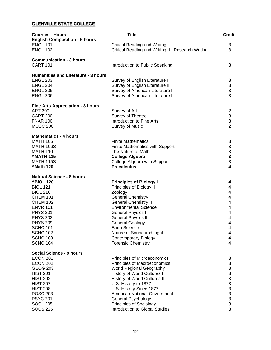# **GLENVILLE STATE COLLEGE**

| <b>Courses - Hours</b>                     | <b>Title</b>                                      | <b>Credit</b>                              |
|--------------------------------------------|---------------------------------------------------|--------------------------------------------|
| <b>English Composition - 6 hours</b>       |                                                   |                                            |
| <b>ENGL 101</b>                            | <b>Critical Reading and Writing I</b>             | 3                                          |
| <b>ENGL 102</b>                            | Critical Reading and Writing II: Research Writing | 3                                          |
| <b>Communication - 3 hours</b>             |                                                   |                                            |
| <b>CART 101</b>                            | Introduction to Public Speaking                   | 3                                          |
| <b>Humanities and Literature - 3 hours</b> |                                                   |                                            |
| <b>ENGL 203</b>                            | Survey of English Literature I                    | 3                                          |
| <b>ENGL 204</b>                            | Survey of English Literature II                   | 3                                          |
| <b>ENGL 205</b>                            | Survey of American Literature I                   | 3                                          |
| <b>ENGL 206</b>                            | Survey of American Literature II                  | 3                                          |
|                                            |                                                   |                                            |
| <b>Fine Arts Appreciation - 3 hours</b>    |                                                   |                                            |
| <b>ART 200</b>                             | Survey of Art                                     | $\overline{c}$                             |
| <b>CART 200</b>                            | Survey of Theatre                                 | 3                                          |
| <b>FNAR 100</b>                            | Introduction to Fine Arts                         | 3                                          |
| <b>MUSC 200</b>                            | <b>Survey of Music</b>                            | $\overline{2}$                             |
| <b>Mathematics - 4 hours</b>               |                                                   |                                            |
| <b>MATH 106</b>                            | <b>Finite Mathematics</b>                         | 3                                          |
| <b>MATH 106S</b>                           | Finite Mathematics with Support                   | 3                                          |
| <b>MATH 110</b>                            | The Nature of Math                                |                                            |
| <b>MATH 115</b>                            | <b>College Algebra</b>                            |                                            |
| <b>MATH 115S</b>                           | College Algebra with Support                      | $\begin{array}{c} 3 \\ 3 \\ 3 \end{array}$ |
| <b>Math 120</b>                            | <b>Precalculus</b>                                | 4                                          |
| <b>Natural Science - 8 hours</b>           |                                                   |                                            |
|                                            |                                                   |                                            |
| <b>^BIOL 120</b><br><b>BIOL 121</b>        | <b>Principles of Biology I</b>                    | 4<br>4                                     |
| <b>BIOL 210</b>                            | Principles of Biology II<br>Zoology               | 4                                          |
|                                            |                                                   |                                            |
| <b>CHEM 101</b>                            | <b>General Chemistry I</b>                        | 4<br>4                                     |
| <b>CHEM 102</b>                            | <b>General Chemistry II</b>                       |                                            |
| <b>ENVR 101</b>                            | <b>Environmental Science</b>                      | 4                                          |
| <b>PHYS 201</b>                            | <b>General Physics I</b>                          | 4                                          |
| <b>PHYS 202</b>                            | <b>General Physics II</b>                         | 4                                          |
| <b>PHYS 209</b>                            | <b>General Geology</b>                            | 4                                          |
| <b>SCNC 101</b>                            | <b>Earth Science</b>                              | 4                                          |
| <b>SCNC 102</b>                            | Nature of Sound and Light                         | 4                                          |
| <b>SCNC 103</b>                            | <b>Contemporary Biology</b>                       | 4                                          |
| <b>SCNC 104</b>                            | <b>Forensic Chemistry</b>                         | 4                                          |
| Social Science - 9 hours                   |                                                   |                                            |
| <b>ECON 201</b>                            | Principles of Microeconomics                      | 3                                          |
| <b>ECON 202</b>                            | Principles of Macroeconomics                      |                                            |
| <b>GEOG 203</b>                            | <b>World Regional Geography</b>                   | 33333333333                                |
| <b>HIST 201</b>                            | History of World Cultures I                       |                                            |
| <b>HIST 202</b>                            | History of World Cultures II                      |                                            |
| <b>HIST 207</b>                            | U.S. History to 1877                              |                                            |
| <b>HIST 208</b>                            | U.S. History Since 1877                           |                                            |
| <b>POSC 203</b>                            | <b>American National Government</b>               |                                            |
| <b>PSYC 201</b>                            | General Psychology                                |                                            |
| <b>SOCL 205</b>                            | <b>Principles of Sociology</b>                    |                                            |
| <b>SOCS 225</b>                            | Introduction to Global Studies                    |                                            |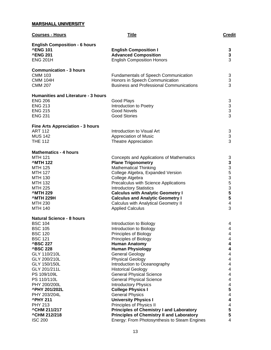# **MARSHALL UNIVERSITY**

| <b>Courses - Hours</b>                     | <b>Title</b>                                              | <b>Credit</b>                              |
|--------------------------------------------|-----------------------------------------------------------|--------------------------------------------|
| <b>English Composition - 6 hours</b>       |                                                           |                                            |
| <b>^ENG 101</b>                            | <b>English Composition I</b>                              | 3                                          |
| <b>^ENG 201</b>                            | <b>Advanced Composition</b>                               | 3                                          |
| <b>ENG 201H</b>                            | <b>English Composition Honors</b>                         | 3                                          |
| <b>Communication - 3 hours</b>             |                                                           |                                            |
| <b>CMM 103</b>                             | <b>Fundamentals of Speech Communication</b>               | 3                                          |
| <b>CMM 104H</b>                            | Honors in Speech Communication                            | 3                                          |
| <b>CMM 207</b>                             | <b>Business and Professional Communications</b>           | 3                                          |
| <b>Humanities and Literature - 3 hours</b> |                                                           |                                            |
| <b>ENG 206</b>                             | Good Plays                                                | 3                                          |
| <b>ENG 213</b>                             | Introduction to Poetry                                    |                                            |
| <b>ENG 215</b>                             | <b>Good Novels</b>                                        | $\begin{array}{c} 3 \\ 3 \\ 3 \end{array}$ |
| <b>ENG 231</b>                             | <b>Good Stories</b>                                       |                                            |
| <b>Fine Arts Appreciation - 3 hours</b>    |                                                           |                                            |
| <b>ART 112</b>                             | Introduction to Visual Art                                | 3                                          |
| <b>MUS 142</b>                             | Appreciation of Music                                     | $\mathfrak{S}$                             |
| <b>THE 112</b>                             | <b>Theatre Appreciation</b>                               | 3                                          |
| <b>Mathematics - 4 hours</b>               |                                                           |                                            |
| <b>MTH 121</b>                             | Concepts and Applications of Mathematics                  | 3                                          |
| <b>^MTH 122</b>                            | <b>Plane Trigonometry</b>                                 |                                            |
| <b>MTH 125</b>                             | <b>Mathematical Thinking</b>                              |                                            |
| <b>MTH 127</b>                             | College Algebra, Expanded Version                         |                                            |
| <b>MTH 130</b>                             | College Algebra                                           | 33535                                      |
| <b>MTH 132</b>                             | Precalculus with Science Applications                     |                                            |
| <b>MTH 225</b>                             | <b>Introductory Statistics</b>                            | 3                                          |
| <b>^MTH 229</b>                            | <b>Calculus with Analytic Geometry I</b>                  | 5                                          |
| <b>^MTH 229H</b>                           | <b>Calculus and Analytic Geometry I</b>                   | 5                                          |
| <b>MTH 230</b>                             | Calculus with Analytical Geometry II                      | $\overline{\mathbf{4}}$                    |
| <b>MTH 140</b>                             | <b>Applied Calculus</b>                                   | 3                                          |
| <b>Natural Science - 8 hours</b>           |                                                           |                                            |
| <b>BSC 104</b>                             | Introduction to Biology                                   | 4                                          |
| <b>BSC 105</b>                             | Introduction to Biology                                   | 4                                          |
| <b>BSC 120</b>                             | Principles of Biology                                     | 4                                          |
| <b>BSC 121</b>                             | Principles of Biology                                     | 4                                          |
| <b>^BSC 227</b>                            | <b>Human Anatomy</b>                                      | 4                                          |
| <b>^BSC 228</b>                            | <b>Human Physiology</b>                                   | 4                                          |
| GLY 110/210L                               | <b>General Geology</b>                                    | 4                                          |
| GLY 200/210L<br>GLY 150/150L               | <b>Physical Geology</b>                                   | 4<br>$\overline{\mathcal{A}}$              |
| GLY 201/211L                               | Introduction to Oceanography<br><b>Historical Geology</b> | $\overline{\mathbf{4}}$                    |
| PS 109/109L                                | <b>General Physical Science</b>                           | $\overline{\mathbf{4}}$                    |
| PS 110/110L                                | <b>General Physical Science</b>                           | $\overline{\mathbf{4}}$                    |
| PHY 200/200L                               | <b>Introductory Physics</b>                               | $\overline{\mathbf{4}}$                    |
| <b>^PHY 201/202L</b>                       | <b>College Physics I</b>                                  | 5                                          |
| PHY 203/204L                               | <b>General Physics</b>                                    | $\overline{\mathbf{4}}$                    |
| <b>^PHY 211</b>                            | <b>University Physics I</b>                               | 4                                          |
| <b>PHY 213</b>                             | Principles of Physics II                                  | 4                                          |
| ^CHM 211/217                               | <b>Principles of Chemistry I and Laboratory</b>           | 5                                          |
| <b>^CHM 212/218</b>                        | <b>Principles of Chemistry II and Laboratory</b>          | 5                                          |
| <b>ISC 200</b>                             | Energy: From Photosynthesis to Steam Engines              | 4                                          |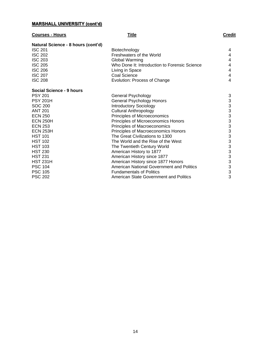# **MARSHALL UNIVERSITY (cont'd)**

# **Courses - Hours Title Credit**

| Natural Science - 8 hours (cont'd) |                                               |                           |
|------------------------------------|-----------------------------------------------|---------------------------|
| <b>ISC 201</b>                     | Biotechnology                                 | 4                         |
| <b>ISC 202</b>                     | Freshwaters of the World                      | 4                         |
| <b>ISC 203</b>                     | Global Warming                                | 4                         |
| <b>ISC 205</b>                     | Who Done It: Introduction to Forensic Science | 4                         |
| <b>ISC 206</b>                     | Living in Space                               | 4                         |
| <b>ISC 207</b>                     | <b>Coal Science</b>                           | 4                         |
| <b>ISC 208</b>                     | Evolution: Process of Change                  | $\overline{4}$            |
| Social Science - 9 hours           |                                               |                           |
| <b>PSY 201</b>                     | General Psychology                            | 3                         |
| <b>PSY 201H</b>                    | General Psychology Honors                     | $\ensuremath{\mathsf{3}}$ |
| <b>SOC 200</b>                     | <b>Introductory Sociology</b>                 | 3                         |
| <b>ANT 201</b>                     | <b>Cultural Anthropology</b>                  | 3                         |
| <b>ECN 250</b>                     | Principles of Microeconomics                  | 3                         |
| <b>ECN 250H</b>                    | Principles of Microeconomics Honors           | $\frac{3}{3}$             |
| <b>ECN 253</b>                     | Principles of Macroeconomics                  |                           |
| <b>ECN 253H</b>                    | Principles of Macroeconomics Honors           | 3                         |
| <b>HST 101</b>                     | The Great Civilizations to 1300               | 3                         |
| <b>HST 102</b>                     | The World and the Rise of the West            | 3                         |
| <b>HST 103</b>                     | The Twentieth Century World                   | 3                         |
| <b>HST 230</b>                     | American History to 1877                      | 3                         |
| <b>HST 231</b>                     | American History since 1877                   | 3                         |
| <b>HST 231H</b>                    | American History since 1877 Honors            | $\frac{3}{3}$             |
| <b>PSC 104</b>                     | American National Government and Politics     |                           |
| <b>PSC 105</b>                     | <b>Fundamentals of Politics</b>               | 3                         |
| <b>PSC 202</b>                     | American State Government and Politics        | 3                         |
|                                    |                                               |                           |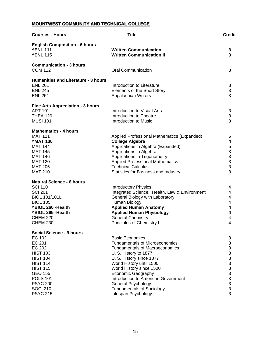# **MOUNTWEST COMMUNITY AND TECHNICAL COLLEGE**

| <b>Courses - Hours</b>                                                                                                                                                                                                                                | <b>Title</b>                                                                                                                                                                                                                                                                                                                                                                      | <b>Credit</b>                        |
|-------------------------------------------------------------------------------------------------------------------------------------------------------------------------------------------------------------------------------------------------------|-----------------------------------------------------------------------------------------------------------------------------------------------------------------------------------------------------------------------------------------------------------------------------------------------------------------------------------------------------------------------------------|--------------------------------------|
| <b>English Composition - 6 hours</b><br><b>^ENL 111</b><br><b>^ENL 115</b>                                                                                                                                                                            | <b>Written Communication</b><br><b>Written Communication II</b>                                                                                                                                                                                                                                                                                                                   | 3<br>3                               |
| <b>Communication - 3 hours</b><br><b>COM 112</b>                                                                                                                                                                                                      | <b>Oral Communication</b>                                                                                                                                                                                                                                                                                                                                                         | 3                                    |
| <b>Humanities and Literature - 3 hours</b><br><b>ENL 201</b><br><b>ENL 245</b><br><b>ENL 251</b>                                                                                                                                                      | Introduction to Literature<br>Elements of the Short Story<br><b>Appalachian Writers</b>                                                                                                                                                                                                                                                                                           | 3<br>3<br>3                          |
| <b>Fine Arts Appreciation - 3 hours</b><br><b>ART 101</b><br><b>THEA 120</b><br><b>MUSI 101</b>                                                                                                                                                       | Introduction to Visual Arts<br>Introduction to Theatre<br>Introduction to Music                                                                                                                                                                                                                                                                                                   | 3<br>3<br>3                          |
| <b>Mathematics - 4 hours</b><br><b>MAT 121</b><br><b>MAT 130</b><br><b>MAT 144</b><br><b>MAT 145</b><br><b>MAT 146</b><br><b>MAT 120</b><br><b>MAT 205</b><br><b>MAT 210</b>                                                                          | Applied Professional Mathematics (Expanded)<br><b>College Algebra</b><br>Applications in Algebra (Expanded)<br>Applications in Algebra<br>Applications in Trigonometry<br><b>Applied Professional Mathematics</b><br><b>Technical Calculus</b><br>Statistics for Business and Industry                                                                                            | 5<br>4<br>533333<br>3                |
| <b>Natural Science - 8 hours</b><br><b>SCI 110</b><br><b>SCI 201</b><br><b>BIOL 101/101L</b><br><b>BIOL 105</b><br>^BIOL 260 - Health<br>^BIOL 265 - Health<br><b>CHEM 220</b><br><b>CHEM 230</b>                                                     | <b>Introductory Physics</b><br>Integrated Science: Health, Law & Environment<br>General Biology with Laboratory<br>Human Biology<br><b>Applied Human Anatomy</b><br><b>Applied Human Physiology</b><br><b>General Chemistry</b><br>Principles of Chemistry I                                                                                                                      | 4<br>4<br>4<br>4<br>4<br>4<br>4<br>4 |
| <b>Social Science - 9 hours</b><br><b>EC 102</b><br>EC 201<br><b>EC 202</b><br><b>HIST 103</b><br><b>HIST 104</b><br><b>HIST 114</b><br><b>HIST 115</b><br><b>GEO 155</b><br><b>POLS 101</b><br><b>PSYC 200</b><br><b>SOCI 210</b><br><b>PSYC 215</b> | <b>Basic Economics</b><br><b>Fundamentals of Microeconomics</b><br><b>Fundamentals of Macroeconomics</b><br>U. S. History to 1877<br>U. S. History since 1877<br>World History until 1500<br>World History since 1500<br><b>Economic Geography</b><br>Introduction to American Government<br><b>General Psychology</b><br><b>Fundamentals of Sociology</b><br>Lifespan Psychology | 3<br>3<br>3333333333<br>3            |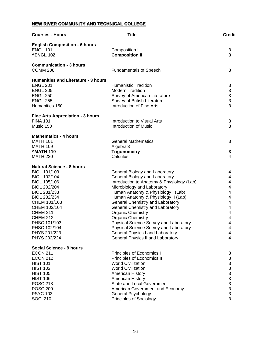# **NEW RIVER COMMUNITY AND TECHNICAL COLLEGE**

| <b>Courses - Hours</b>                                                      | <b>Title</b>                                                              | <b>Credit</b>                              |
|-----------------------------------------------------------------------------|---------------------------------------------------------------------------|--------------------------------------------|
| <b>English Composition - 6 hours</b><br><b>ENGL 101</b><br><b>^ENGL 102</b> | Composition I<br><b>Composition II</b>                                    | 3<br>3                                     |
| <b>Communication - 3 hours</b><br><b>COMM 208</b>                           | <b>Fundamentals of Speech</b>                                             | 3                                          |
| <b>Humanities and Literature - 3 hours</b><br><b>ENGL 201</b>               | <b>Humanistic Tradition</b>                                               | 3                                          |
| <b>ENGL 205</b>                                                             | <b>Modern Tradition</b>                                                   |                                            |
| <b>ENGL 250</b>                                                             | Survey of American Literature                                             | $\begin{array}{c} 3 \\ 3 \\ 3 \end{array}$ |
| <b>ENGL 255</b>                                                             | Survey of British Literature                                              |                                            |
| Humanities 150                                                              | Introduction of Fine Arts                                                 | 3                                          |
| <b>Fine Arts Appreciation - 3 hours</b>                                     |                                                                           |                                            |
| <b>FINA 101</b>                                                             | Introduction to Visual Arts                                               | 3                                          |
| Music 150                                                                   | <b>Introduction of Music</b>                                              | 3                                          |
| <b>Mathematics - 4 hours</b>                                                |                                                                           |                                            |
| <b>MATH 101</b>                                                             | <b>General Mathematics</b>                                                | 3                                          |
| <b>MATH 109</b><br><b>MATH 110</b>                                          | Algebra 3<br><b>Trigonometry</b>                                          |                                            |
| <b>MATH 220</b>                                                             | Calculus                                                                  | 3<br>4                                     |
|                                                                             |                                                                           |                                            |
| <b>Natural Science - 8 hours</b>                                            |                                                                           |                                            |
| BIOL 101/103                                                                | General Biology and Laboratory                                            | 4                                          |
| BIOL 102/104                                                                | General Biology and Laboratory                                            | 4                                          |
| BIOL 105/106<br>BIOL 202/204                                                | Introduction to Anatomy & Physiology (Lab)<br>Microbiology and Laboratory | 4<br>4                                     |
| BIOL 231/233                                                                | Human Anatomy & Physiology I (Lab)                                        | 4                                          |
| BIOL 232/234                                                                | Human Anatomy & Physiology II (Lab)                                       | 4                                          |
| CHEM 101/103                                                                | General Chemistry and Laboratory                                          | 4                                          |
| CHEM 102/104                                                                | General Chemistry and Laboratory                                          | 4                                          |
| <b>CHEM 211</b>                                                             | <b>Organic Chemistry</b>                                                  | 4                                          |
| <b>CHEM 212</b><br>PHSC 101/103                                             | <b>Organic Chemistry</b><br>Physical Science Survey and Laboratory        | 4<br>4                                     |
| PHSC 102/104                                                                | Physical Science Survey and Laboratory                                    | 4                                          |
| PHYS 201/223                                                                | General Physics I and Laboratory                                          | 4                                          |
| PHYS 202/224                                                                | <b>General Physics II and Laboratory</b>                                  | 4                                          |
| Social Science - 9 hours                                                    |                                                                           |                                            |
| <b>ECON 211</b>                                                             | Principles of Economics I                                                 | 3                                          |
| <b>ECON 212</b>                                                             | Principles of Economics II                                                | 3                                          |
| <b>HIST 101</b>                                                             | <b>World Civilization</b>                                                 |                                            |
| <b>HIST 102</b>                                                             | <b>World Civilization</b>                                                 |                                            |
| <b>HIST 105</b><br><b>HIST 106</b>                                          | American History<br>American History                                      | $3333$<br>$333$                            |
| <b>POSC 218</b>                                                             | <b>State and Local Government</b>                                         |                                            |
| <b>POSC 200</b>                                                             | American Government and Economy                                           |                                            |
| <b>PSYC 103</b>                                                             | General Psychology                                                        |                                            |
| <b>SOCI 210</b>                                                             | <b>Principles of Sociology</b>                                            | 3                                          |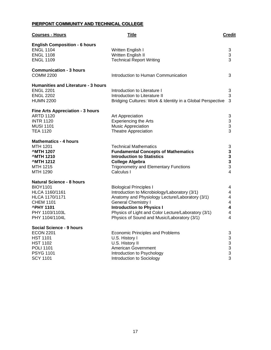# **PIERPONT COMMUNITY AND TECHNICAL COLLEGE**

| <b>Courses - Hours</b>                                                                                                                                                     | <b>Title</b>                                                                                                                                                                                                                                                                                               | <b>Credit</b>                                             |
|----------------------------------------------------------------------------------------------------------------------------------------------------------------------------|------------------------------------------------------------------------------------------------------------------------------------------------------------------------------------------------------------------------------------------------------------------------------------------------------------|-----------------------------------------------------------|
| <b>English Composition - 6 hours</b><br><b>ENGL 1104</b><br><b>ENGL 1108</b><br><b>ENGL 1109</b>                                                                           | Written English I<br>Written English II<br><b>Technical Report Writing</b>                                                                                                                                                                                                                                 | 3<br>3<br>3                                               |
| <b>Communication - 3 hours</b><br><b>COMM 2200</b>                                                                                                                         | Introduction to Human Communication                                                                                                                                                                                                                                                                        | 3                                                         |
| <b>Humanities and Literature - 3 hours</b><br><b>ENGL 2201</b><br><b>ENGL 2202</b><br><b>HUMN 2200</b>                                                                     | Introduction to Literature I<br>Introduction to Literature II<br>Bridging Cultures: Work & Identity in a Global Perspective                                                                                                                                                                                | 3<br>3<br>3                                               |
| <b>Fine Arts Appreciation - 3 hours</b><br><b>ARTD 1120</b><br><b>INTR 1120</b><br><b>MUSI 1101</b><br><b>TEA 1120</b>                                                     | Art Appreciation<br><b>Experiencing the Arts</b><br><b>Music Appreciation</b><br><b>Theatre Appreciation</b>                                                                                                                                                                                               | 3<br>$\begin{array}{c} 3 \\ 3 \end{array}$                |
| <b>Mathematics - 4 hours</b><br><b>MTH 1201</b><br><b>MTH 1207</b><br><b>MTH 1210</b><br><b>MTH 1212</b><br>MTH 1215<br>MTH 1290                                           | <b>Technical Mathematics</b><br><b>Fundamental Concepts of Mathematics</b><br><b>Introduction to Statistics</b><br><b>College Algebra</b><br><b>Trigonometry and Elementary Functions</b><br>Calculus I                                                                                                    | 3<br>$\begin{array}{c} 3 \\ 3 \\ 3 \end{array}$<br>4      |
| <b>Natural Science - 8 hours</b><br><b>BIOY1101</b><br>HLCA 1160/1161<br><b>HLCA 1170/1171</b><br><b>CHEM 1101</b><br><b>^PHY 1101</b><br>PHY 1103/1103L<br>PHY 1104/1104L | <b>Biological Principles I</b><br>Introduction to Microbiology/Laboratory (3/1)<br>Anatomy and Physiology Lecture/Laboratory (3/1)<br><b>General Chemistry I</b><br><b>Introduction to Physics I</b><br>Physics of Light and Color Lecture/Laboratory (3/1)<br>Physics of Sound and Music/Laboratory (3/1) | 4<br>4<br>4<br>4<br>4<br>4<br>4                           |
| <b>Social Science - 9 hours</b><br><b>ECON 2201</b><br><b>HST 1101</b><br><b>HST 1102</b><br><b>POLI 1101</b><br><b>PSYG 1101</b><br><b>SCY 1101</b>                       | <b>Economic Principles and Problems</b><br>U.S. History I<br>U.S. History II<br>American Government<br>Introduction to Psychology<br>Introduction to Sociology                                                                                                                                             | 3<br>3<br>$\begin{array}{c} 3 \\ 3 \\ 3 \end{array}$<br>3 |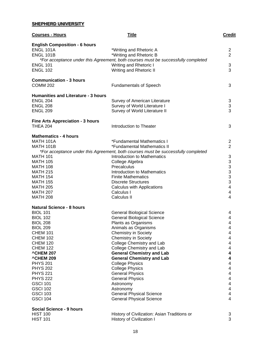# **SHEPHERD UNIVERSITY**

| <b>Courses - Hours</b>                                                       | <b>Title</b>                                                                                                                                   | <b>Credit</b>                                     |
|------------------------------------------------------------------------------|------------------------------------------------------------------------------------------------------------------------------------------------|---------------------------------------------------|
| <b>English Composition - 6 hours</b><br><b>ENGL 101A</b><br><b>ENGL 101B</b> | *Writing and Rhetoric A<br>*Writing and Rhetoric B                                                                                             | 2<br>$\overline{2}$                               |
| <b>ENGL 101</b><br><b>ENGL 102</b>                                           | *For acceptance under this Agreement, both courses must be successfully completed<br>Writing and Rhetoric I<br>Writing and Rhetoric II         | 3<br>3                                            |
| <b>Communication - 3 hours</b><br><b>COMM 202</b>                            | <b>Fundamentals of Speech</b>                                                                                                                  | 3                                                 |
| <b>Humanities and Literature - 3 hours</b><br><b>ENGL 204</b>                | Survey of American Literature                                                                                                                  | 3                                                 |
| <b>ENGL 208</b><br><b>ENGL 209</b>                                           | Survey of World Literature I<br>Survey of World Literature II                                                                                  | 3<br>3                                            |
| <b>Fine Arts Appreciation - 3 hours</b><br><b>THEA 204</b>                   | Introduction to Theater                                                                                                                        | 3                                                 |
| <b>Mathematics - 4 hours</b>                                                 |                                                                                                                                                |                                                   |
| <b>MATH 101A</b><br><b>MATH 101B</b>                                         | *Fundamental Mathematics I<br>*Fundamental Mathematics II<br>*For acceptance under this Agreement, both courses must be successfully completed | 2<br>$\overline{2}$                               |
| <b>MATH 101</b>                                                              | Introduction to Mathematics                                                                                                                    | 3                                                 |
| <b>MATH 105</b>                                                              | College Algebra                                                                                                                                |                                                   |
| <b>MATH 108</b>                                                              | Precalculus                                                                                                                                    | $\begin{array}{c}\n3 \\ 3 \\ 3 \\ 3\n\end{array}$ |
| <b>MATH 215</b>                                                              | Introduction to Mathematics                                                                                                                    |                                                   |
| <b>MATH 154</b>                                                              | <b>Finite Mathematics</b>                                                                                                                      |                                                   |
| <b>MATH 155</b><br><b>MATH 205</b>                                           | <b>Discrete Structures</b><br><b>Calculus with Applications</b>                                                                                | 4                                                 |
| <b>MATH 207</b>                                                              | Calculus I                                                                                                                                     | 4                                                 |
| <b>MATH 208</b>                                                              | Calculus II                                                                                                                                    | 4                                                 |
| <b>Natural Science - 8 hours</b>                                             |                                                                                                                                                |                                                   |
| <b>BIOL 101</b>                                                              | <b>General Biological Science</b>                                                                                                              | 4                                                 |
| <b>BIOL 102</b>                                                              | <b>General Biological Science</b>                                                                                                              | 4                                                 |
| <b>BIOL 208</b>                                                              | Plants as Organisms<br>Animals as Organisms                                                                                                    | 4                                                 |
| <b>BIOL 209</b><br><b>CHEM 101</b>                                           | <b>Chemistry in Society</b>                                                                                                                    | 4<br>4                                            |
| <b>CHEM 102</b>                                                              | <b>Chemistry in Society</b>                                                                                                                    | 4                                                 |
| <b>CHEM 120</b>                                                              | College Chemistry and Lab                                                                                                                      | 4                                                 |
| <b>CHEM 122</b>                                                              | College Chemistry and Lab                                                                                                                      | 4                                                 |
| <b>^CHEM 207</b>                                                             | <b>General Chemistry and Lab</b>                                                                                                               | 4                                                 |
| <b>^CHEM 209</b>                                                             | <b>General Chemistry and Lab</b>                                                                                                               | 4                                                 |
| <b>PHYS 201</b>                                                              | <b>College Physics</b>                                                                                                                         | 4                                                 |
| <b>PHYS 202</b><br><b>PHYS 221</b>                                           | <b>College Physics</b><br><b>General Physics</b>                                                                                               | 4<br>$\overline{\mathbf{4}}$                      |
| <b>PHYS 222</b>                                                              | <b>General Physics</b>                                                                                                                         | $\overline{\mathbf{4}}$                           |
| <b>GSCI 101</b>                                                              | Astronomy                                                                                                                                      | $\overline{\mathbf{4}}$                           |
| <b>GSCI 102</b>                                                              | Astronomy                                                                                                                                      | $\overline{\mathbf{4}}$                           |
| <b>GSCI 103</b>                                                              | <b>General Physical Science</b>                                                                                                                | 4                                                 |
| <b>GSCI 104</b>                                                              | <b>General Physical Science</b>                                                                                                                | 4                                                 |
| <b>Social Science - 9 hours</b>                                              |                                                                                                                                                |                                                   |
| <b>HIST 100</b>                                                              | History of Civilization: Asian Traditions or                                                                                                   | 3                                                 |
| <b>HIST 101</b>                                                              | History of Civilization I                                                                                                                      | 3                                                 |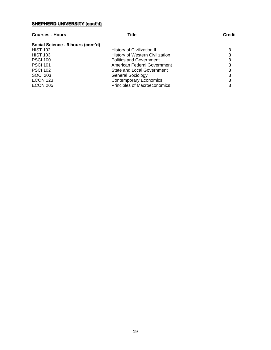# **SHEPHERD UNIVERSITY (cont'd)**

# **Courses - Hours Title Credit**

| Social Science - 9 hours (cont'd) |                                     |   |
|-----------------------------------|-------------------------------------|---|
| <b>HIST 102</b>                   | <b>History of Civilization II</b>   | 3 |
| <b>HIST 103</b>                   | History of Western Civilization     | 3 |
| <b>PSCI 100</b>                   | <b>Politics and Government</b>      | 3 |
| <b>PSCI 101</b>                   | American Federal Government         | 3 |
| <b>PSCI 102</b>                   | State and Local Government          | 3 |
| <b>SOCI 203</b>                   | <b>General Sociology</b>            | 3 |
| <b>ECON 123</b>                   | <b>Contemporary Economics</b>       | 3 |
| <b>ECON 205</b>                   | <b>Principles of Macroeconomics</b> | 3 |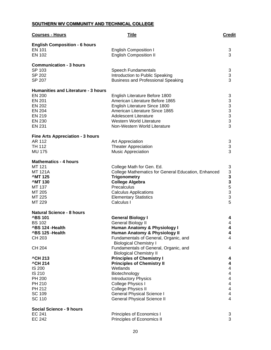# **SOUTHERN WV COMMUNITY AND TECHNICAL COLLEGE**

| <b>Courses - Hours</b>                     | Title                                                                  | <b>Credit</b>                                          |
|--------------------------------------------|------------------------------------------------------------------------|--------------------------------------------------------|
| <b>English Composition - 6 hours</b>       |                                                                        |                                                        |
| <b>EN 101</b>                              | <b>English Composition I</b>                                           | 3                                                      |
| EN 102                                     | <b>English Composition II</b>                                          | 3                                                      |
|                                            |                                                                        |                                                        |
| <b>Communication - 3 hours</b>             |                                                                        |                                                        |
| SP 103                                     | Speech Fundamentals                                                    | 3                                                      |
| SP 202                                     | Introduction to Public Speaking                                        | 3                                                      |
| SP 207                                     | <b>Business and Professional Speaking</b>                              | 3                                                      |
| <b>Humanities and Literature - 3 hours</b> |                                                                        |                                                        |
| <b>EN 200</b>                              | English Literature Before 1800                                         | 3                                                      |
| <b>EN 201</b>                              | American Literature Before 1865                                        |                                                        |
| EN 202                                     | English Literature Since 1800                                          |                                                        |
| EN 204                                     | American Literature Since 1865                                         | $\begin{array}{c}\n 3 \\  3 \\  3 \\  3\n \end{array}$ |
| EN 219                                     | <b>Adolescent Literature</b>                                           |                                                        |
| EN 230                                     | <b>Western World Literature</b>                                        |                                                        |
| <b>EN 231</b>                              | Non-Western World Literature                                           |                                                        |
| <b>Fine Arts Appreciation - 3 hours</b>    |                                                                        |                                                        |
| AR 112                                     | Art Appreciation                                                       | 3                                                      |
| TH 112                                     | <b>Theater Appreciation</b>                                            | 3                                                      |
| <b>MU 175</b>                              | <b>Music Appreciation</b>                                              | 3                                                      |
| <b>Mathematics - 4 hours</b>               |                                                                        |                                                        |
| MT 121                                     | College Math for Gen. Ed.                                              | 3                                                      |
| <b>MT 121A</b>                             | College Mathematics for General Education, Enhanced                    |                                                        |
| <b>MT125</b>                               | <b>Trigonometry</b>                                                    | $\begin{array}{c}\n3 \\ 3 \\ 5 \\ 5\n\end{array}$      |
| <b>MT130</b>                               | <b>College Algebra</b>                                                 |                                                        |
| MT 137                                     | Precalculus                                                            |                                                        |
| MT 205                                     | <b>Calculus Applications</b>                                           |                                                        |
| MT 225                                     | <b>Elementary Statistics</b>                                           | 3                                                      |
| MT 229                                     | Calculus I                                                             | 5                                                      |
| <b>Natural Science - 8 hours</b>           |                                                                        |                                                        |
| <b>^BS101</b>                              | <b>General Biology I</b>                                               | 4                                                      |
| <b>BS 102</b>                              | <b>General Biology II</b>                                              | 4                                                      |
| ^BS 124 -Health                            | <b>Human Anatomy &amp; Physiology I</b>                                | 4                                                      |
| ^BS 125 - Health                           | <b>Human Anatomy &amp; Physiology II</b>                               | 4                                                      |
| CH 203                                     | Fundamentals of General, Organic, and<br><b>Biological Chemistry I</b> | 4                                                      |
| <b>CH 204</b>                              | Fundamentals of General, Organic, and                                  | 4                                                      |
|                                            | <b>Biological Chemistry II</b>                                         |                                                        |
| <b>^CH 213</b>                             | <b>Principles of Chemistry I</b>                                       | 4                                                      |
| <b>^CH 214</b>                             | <b>Principles of Chemistry II</b>                                      | 4                                                      |
| <b>IS 200</b>                              | Wetlands                                                               | 4                                                      |
| IS 210                                     | Biotechnology                                                          | 4                                                      |
| PH 200                                     | <b>Introductory Physics</b>                                            | 4                                                      |
| PH 210                                     | College Physics I                                                      | 4                                                      |
| PH 212                                     | <b>College Physics II</b>                                              | 4                                                      |
| SC 109                                     | <b>General Physical Science I</b>                                      | 4                                                      |
| <b>SC 110</b>                              | <b>General Physical Science II</b>                                     | 4                                                      |
| <b>Social Science - 9 hours</b>            |                                                                        |                                                        |
| EC 241                                     | Principles of Economics I                                              | 3                                                      |
| <b>EC 242</b>                              | Principles of Economics II                                             | 3                                                      |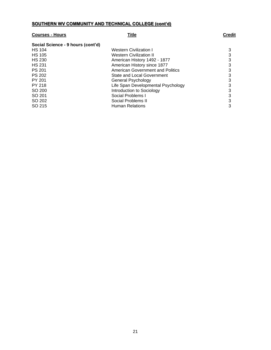# **SOUTHERN WV COMMUNITY AND TECHNICAL COLLEGE (cont'd)**

| <b>Courses - Hours</b>            | Title                                   | <b>Credit</b> |
|-----------------------------------|-----------------------------------------|---------------|
| Social Science - 9 hours (cont'd) |                                         |               |
| <b>HS 104</b>                     | <b>Western Civilization I</b>           | 3             |
| <b>HS 105</b>                     | <b>Western Civilization II</b>          | 3             |
| <b>HS 230</b>                     | American History 1492 - 1877            | 3             |
| <b>HS 231</b>                     | American History since 1877             | 3             |
| <b>PS 201</b>                     | <b>American Government and Politics</b> | 3             |
| <b>PS 202</b>                     | State and Local Government              | 3             |
| PY 201                            | General Psychology                      | 3             |
| PY 218                            | Life Span Developmental Psychology      | 3             |
| SO 200                            | Introduction to Sociology               | 3             |
| SO 201                            | Social Problems I                       | 3             |
| SO 202                            | Social Problems II                      | 3             |
| SO 215                            | <b>Human Relations</b>                  | 3             |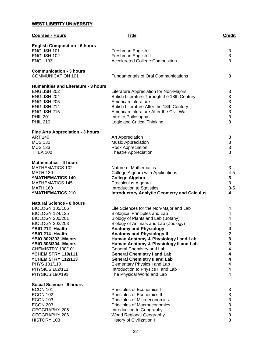# **WEST LIBERTY UNIVERSITY**

| <b>Courses - Hours</b>                                    | <b>Title</b>                                                     | <b>Credit</b>                                     |
|-----------------------------------------------------------|------------------------------------------------------------------|---------------------------------------------------|
| <b>English Composition - 6 hours</b>                      |                                                                  |                                                   |
| ENGLISH 101                                               | Freshman English I                                               | 3                                                 |
| <b>ENGLISH 102</b>                                        | Freshman English II                                              | 3                                                 |
| <b>ENGL 103</b>                                           | <b>Accelerated College Composition</b>                           | 3                                                 |
| <b>Communication - 3 hours</b>                            |                                                                  |                                                   |
| <b>COMMUNICATION 101</b>                                  | <b>Fundamentals of Oral Communications</b>                       | 3                                                 |
| <b>Humanities and Literature - 3 hours</b>                |                                                                  |                                                   |
| <b>ENGLISH 202</b>                                        | Literature Appreciation for Non-Majors                           | 3                                                 |
| ENGLISH 204                                               | British Literature Through the 18th Century                      |                                                   |
| <b>ENGLISH 205</b>                                        | American Literature                                              | $\begin{array}{c}\n3 \\ 3 \\ 3 \\ 3\n\end{array}$ |
| <b>ENGLISH 214</b>                                        | British Literature After the 18th Century                        |                                                   |
| <b>ENGLISH 215</b><br><b>PHIL 201</b>                     | American Literature After the Civil War                          |                                                   |
| <b>PHIL 210</b>                                           | Intro to Philosophy<br>Logic and Critical Thinking               | 3                                                 |
|                                                           |                                                                  |                                                   |
| <b>Fine Arts Appreciation - 3 hours</b><br><b>ART 140</b> | Art Appreciation                                                 | 3                                                 |
| <b>MUS 130</b>                                            | <b>Music Appreciation</b>                                        | 3                                                 |
| <b>MUS 133</b>                                            | <b>Rock Appreciation</b>                                         | 3                                                 |
| <b>THEA 100</b>                                           | <b>Theatre Appreciation</b>                                      | 3                                                 |
| <b>Mathematics - 4 hours</b>                              |                                                                  |                                                   |
| <b>MATHEMATICS 102</b>                                    | Nature of Mathematics                                            | 3                                                 |
| <b>MATH 130</b>                                           | College Algebra with Applications                                | $4 - 5$                                           |
| <b>^MATHEMATICS 140</b>                                   | <b>College Algebra</b>                                           | 3                                                 |
| <b>MATHEMATICS 145</b>                                    | Precalculus Algebra                                              | 3                                                 |
| <b>MATH 160</b>                                           | <b>Introduction to Statistics</b>                                | $3-5$                                             |
| <b>^MATHEMATICS 210</b>                                   | <b>Introductory Analytic Geometry and Calculus</b>               | 4                                                 |
| <b>Natural Science - 8 hours</b>                          |                                                                  |                                                   |
| <b>BIOLOGY 105/106</b>                                    | Life Sciences for the Non-Major and Lab                          | 4                                                 |
| <b>BIOLOGY 124/125</b>                                    | <b>Biological Principles and Lab</b>                             | 4                                                 |
| <b>BIOLOGY 200/201</b>                                    | Biology of Plants and Lab (Botany)                               | 4                                                 |
| <b>BIOLOGY 202/203</b>                                    | Biology of Animals and Lab (Zoology)                             | 4                                                 |
| ^BIO 212 - Health                                         | <b>Anatomy and Physiology</b>                                    | 4                                                 |
| ^BIO 214 - Health                                         | <b>Anatomy and Physiology II</b>                                 | 2                                                 |
| ^BIO 302/303 - Majors                                     | Human Anatomy & Physiology I and Lab                             | 3                                                 |
| ^BIO 303/304 - Majors                                     | Human Anatomy & Physiology II and Lab                            | 3                                                 |
| CHEMISTRY 100/101                                         | General Chemistry and Lab                                        | 4                                                 |
| <b>^CHEMISTRY 110/111</b>                                 | <b>General Chemistry I and Lab</b>                               | $\overline{\mathbf{4}}$                           |
| <b>^CHEMISTRY 112/113</b>                                 | <b>General Chemistry II and Lab</b>                              | $\overline{\mathbf{4}}$                           |
| PHYS 101/110<br><b>PHYSICS 102/111</b>                    | <b>Elementary Physics I and Lab</b>                              | 4<br>4                                            |
| <b>PHYSICS 190/191</b>                                    | Introduction to Physics II and Lab<br>The Physical World and Lab | 4                                                 |
|                                                           |                                                                  |                                                   |
| Social Science - 9 hours                                  |                                                                  |                                                   |
| <b>ECON 101</b>                                           | Principles of Economics I                                        | 3                                                 |
| <b>ECON 102</b>                                           | Principles of Economics II                                       | 3                                                 |
| <b>ECON 103</b><br><b>ECON 203</b>                        | Principles of Microeconomics                                     |                                                   |
| GEOGRAPHY 205                                             | Principles of Macroeconomics<br>Introduction to Geography        |                                                   |
| GEOGRAPHY 206                                             | World Regional Geography                                         | $\begin{array}{c} 3 \\ 3 \\ 3 \end{array}$        |
| HISTORY 103                                               | History of Civilization I                                        | 3                                                 |
|                                                           |                                                                  |                                                   |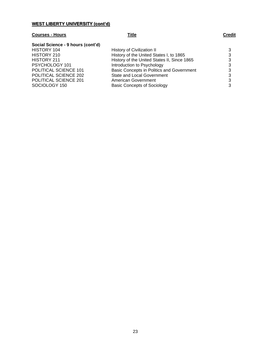### **WEST LIBERTY UNIVERSITY (cont'd)**

### **Courses - Hours Title Credit**

# **Social Science - 9 hours (cont'd)**

HISTORY 104 HISTORY 210 HISTORY 211 PSYCHOLOGY 101 POLITICAL SCIENCE 101 POLITICAL SCIENCE 202 POLITICAL SCIENCE 201 SOCIOLOGY 150

| History of Civilization II                  | 3 |
|---------------------------------------------|---|
| History of the United States I, to 1865     | 3 |
| History of the United States II, Since 1865 | З |
| Introduction to Psychology                  | 3 |
| Basic Concepts in Politics and Government   | 3 |
| <b>State and Local Government</b>           | 3 |
| American Government                         | 3 |
| <b>Basic Concepts of Sociology</b>          | 3 |
|                                             |   |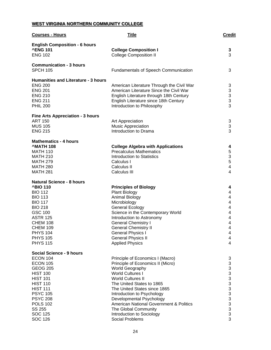# **WEST VIRGINIA NORTHERN COMMUNITY COLLEGE**

| <b>Courses - Hours</b>                  | <b>Title</b>                                                   | <b>Credit</b>                |
|-----------------------------------------|----------------------------------------------------------------|------------------------------|
| <b>English Composition - 6 hours</b>    |                                                                |                              |
| <b>^ENG 101</b>                         | <b>College Composition I</b>                                   | 3                            |
| <b>ENG 102</b>                          | <b>College Composition II</b>                                  | 3                            |
| <b>Communication - 3 hours</b>          |                                                                |                              |
| <b>SPCH 105</b>                         | <b>Fundamentals of Speech Communication</b>                    | 3                            |
| Humanities and Literature - 3 hours     |                                                                |                              |
| <b>ENG 200</b>                          | American Literature Through the Civil War                      | 3                            |
| <b>ENG 201</b>                          | American Literature Since the Civil War                        | $\ensuremath{\mathsf{3}}$    |
| <b>ENG 210</b>                          | English Literature through 18th Century                        | $\frac{3}{3}$                |
| <b>ENG 211</b>                          | English Literature since 18th Century                          |                              |
| <b>PHIL 200</b>                         | Introduction to Philosophy                                     | 3                            |
| <b>Fine Arts Appreciation - 3 hours</b> |                                                                |                              |
| <b>ART 150</b>                          | Art Appreciation                                               | 3                            |
| <b>MUS 105</b>                          | <b>Music Appreciation</b>                                      | 3                            |
| <b>ENG 215</b>                          | Introduction to Drama                                          | 3                            |
| <b>Mathematics - 4 hours</b>            |                                                                |                              |
| <b>MATH 108</b>                         | <b>College Algebra with Applications</b>                       | 4                            |
| <b>MATH 110</b>                         | <b>Precalculus Mathematics</b>                                 | 5                            |
| <b>MATH 210</b>                         | <b>Introduction to Statistics</b>                              | $\mathfrak{S}$               |
| <b>MATH 279</b><br><b>MATH 280</b>      | Calculus I<br>Calculus II                                      | 5<br>$\overline{\mathbf{4}}$ |
| <b>MATH 281</b>                         | Calculus III                                                   | 4                            |
|                                         |                                                                |                              |
| <b>Natural Science - 8 hours</b>        |                                                                |                              |
| <b>^BIO 110</b>                         | <b>Principles of Biology</b>                                   | 4                            |
| <b>BIO 112</b>                          | <b>Plant Biology</b>                                           | 4                            |
| <b>BIO 113</b>                          | <b>Animal Biology</b>                                          | 4                            |
| <b>BIO 117</b>                          | Microbiology                                                   | 4                            |
| <b>BIO 218</b><br><b>GSC 100</b>        | <b>General Ecology</b>                                         | 4<br>4                       |
| <b>ASTR 125</b>                         | Science in the Contemporary World<br>Introduction to Astronomy | 4                            |
| <b>CHEM 108</b>                         | <b>General Chemistry I</b>                                     | 4                            |
| <b>CHEM 109</b>                         | <b>General Chemistry II</b>                                    | 4                            |
| <b>PHYS 104</b>                         | <b>General Physics I</b>                                       | 4                            |
| <b>PHYS 105</b>                         | <b>General Physics II</b>                                      | 4                            |
| <b>PHYS 115</b>                         | <b>Applied Physics</b>                                         | 4                            |
| Social Science - 9 hours                |                                                                |                              |
| ECON 104                                | Principle of Economics I (Macro)                               | 3                            |
| <b>ECON 105</b>                         | Principle of Economics II (Micro)                              | 3                            |
| <b>GEOG 205</b>                         | <b>World Geography</b>                                         | 3                            |
| <b>HIST 100</b>                         | <b>World Cultures I</b>                                        |                              |
| <b>HIST 101</b>                         | <b>World Cultures II</b>                                       |                              |
| <b>HIST 110</b>                         | The United States to 1865                                      |                              |
| <b>HIST 111</b>                         | The United States since 1865                                   |                              |
| <b>PSYC 105</b>                         | Introduction to Psychology                                     |                              |
| <b>PSYC 208</b>                         | Developmental Psychology                                       |                              |
| <b>POLS 102</b>                         | <b>American National Government &amp; Politics</b>             |                              |
| SS 255<br><b>SOC 125</b>                | The Global Community<br>Introduction to Sociology              | 3333333333                   |
| <b>SOC 126</b>                          | Social Problems                                                | 3                            |
|                                         |                                                                |                              |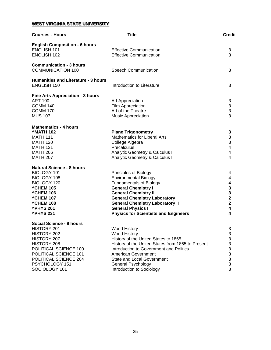# **WEST VIRGINIA STATE UNIVERSITY**

| <b>Courses - Hours</b>                                                                                                                                                                                | <b>Title</b>                                                                                                                                                                                                                                                                                                         | <b>Credit</b>                                                                                  |
|-------------------------------------------------------------------------------------------------------------------------------------------------------------------------------------------------------|----------------------------------------------------------------------------------------------------------------------------------------------------------------------------------------------------------------------------------------------------------------------------------------------------------------------|------------------------------------------------------------------------------------------------|
| <b>English Composition - 6 hours</b><br><b>ENGLISH 101</b><br>ENGLISH 102                                                                                                                             | <b>Effective Communication</b><br><b>Effective Communication</b>                                                                                                                                                                                                                                                     | 3<br>3                                                                                         |
| <b>Communication - 3 hours</b><br><b>COMMUNICATION 100</b>                                                                                                                                            | <b>Speech Communication</b>                                                                                                                                                                                                                                                                                          | 3                                                                                              |
| <b>Humanities and Literature - 3 hours</b><br><b>ENGLISH 150</b>                                                                                                                                      | Introduction to Literature                                                                                                                                                                                                                                                                                           | 3                                                                                              |
| <b>Fine Arts Appreciation - 3 hours</b><br><b>ART 100</b><br><b>COMM 140</b><br><b>COMM 170</b><br><b>MUS 107</b>                                                                                     | Art Appreciation<br>Film Appreciation<br>Art of the Theatre<br>Music Appreciation                                                                                                                                                                                                                                    | 3<br>$\begin{array}{c} 3 \\ 3 \\ 3 \end{array}$                                                |
| <b>Mathematics - 4 hours</b><br><b>MATH 102</b><br><b>MATH 111</b><br><b>MATH 120</b><br><b>MATH 121</b><br><b>MATH 206</b><br><b>MATH 207</b>                                                        | <b>Plane Trigonometry</b><br><b>Mathematics for Liberal Arts</b><br>College Algebra<br>Precalculus<br>Analytic Geometry & Calculus I<br>Analytic Geometry & Calculus II                                                                                                                                              | 3<br>3<br>3<br>$\overline{\mathbf{4}}$<br>4<br>$\overline{4}$                                  |
| <b>Natural Science - 8 hours</b><br>BIOLOGY 101<br>BIOLOGY 108<br>BIOLOGY 120<br><b>^CHEM 105</b><br><b>^CHEM 106</b><br><b>^CHEM 107</b><br><b>^CHEM 108</b><br><b>^PHYS 201</b><br><b>^PHYS 231</b> | Principles of Biology<br><b>Environmental Biology</b><br><b>Fundamentals of Biology</b><br><b>General Chemistry I</b><br><b>General Chemistry II</b><br><b>General Chemistry Laboratory I</b><br><b>General Chemistry Laboratory II</b><br><b>General Physics I</b><br><b>Physics for Scientists and Engineers I</b> | 4<br>4<br>$\begin{array}{c} 4 \\ 3 \\ 3 \\ 2 \end{array}$<br>$\overline{\mathbf{2}}$<br>4<br>4 |
| Social Science - 9 hours<br>HISTORY 201<br>HISTORY 202<br>HISTORY 207<br>HISTORY 208<br>POLITICAL SCIENCE 100<br>POLITICAL SCIENCE 101<br>POLITICAL SCIENCE 204<br>PSYCHOLOGY 151<br>SOCIOLOGY 101    | <b>World History</b><br><b>World History</b><br>History of the United States to 1865<br>History of the United States from 1865 to Present<br>Introduction to Government and Politics<br>American Government<br><b>State and Local Government</b><br><b>General Psychology</b><br>Introduction to Sociology           | 3<br>3<br>3<br>3<br>$\frac{3}{3}$<br>3<br>3<br>3                                               |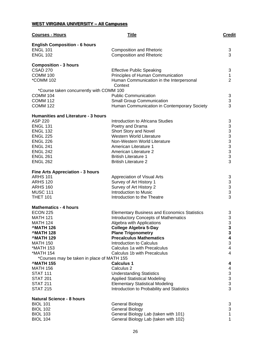# **WEST VIRGINIA UNIVERSITY – All Campuses**

| <b>Courses - Hours</b>                                        | <b>Title</b>                                                                    | <b>Credit</b>                              |
|---------------------------------------------------------------|---------------------------------------------------------------------------------|--------------------------------------------|
| <b>English Composition - 6 hours</b><br><b>ENGL 101</b>       | <b>Composition and Rhetoric</b>                                                 | 3                                          |
| <b>ENGL 102</b>                                               | <b>Composition and Rhetoric</b>                                                 | 3                                          |
| <b>Composition - 3 hours</b>                                  |                                                                                 |                                            |
| <b>CSAD 270</b>                                               | <b>Effective Public Speaking</b>                                                | 3                                          |
| <b>COMM 100</b>                                               | Principles of Human Communication                                               | 1                                          |
| <i>*COMM</i> 102                                              | Human Communication in the Interpersonal<br>Context                             | $\overline{2}$                             |
| *Course taken concurrently with COMM 100                      |                                                                                 |                                            |
| COMM 104                                                      | <b>Public Communication</b>                                                     | $\sqrt{3}$                                 |
| <b>COMM 112</b><br><b>COMM 122</b>                            | <b>Small Group Communication</b><br>Human Communication in Contemporary Society | 3<br>3                                     |
| <b>Humanities and Literature - 3 hours</b>                    |                                                                                 |                                            |
| <b>ASP 220</b>                                                | Introduction to Africana Studies                                                | 3                                          |
| <b>ENGL 131</b>                                               | Poetry and Drama                                                                |                                            |
| <b>ENGL 132</b>                                               | Short Story and Novel                                                           | 33333333                                   |
| <b>ENGL 225</b>                                               | <b>Western World Literature</b>                                                 |                                            |
| <b>ENGL 226</b>                                               | Non-Western World Literature                                                    |                                            |
|                                                               |                                                                                 |                                            |
| <b>ENGL 241</b>                                               | American Literature 1                                                           |                                            |
| <b>ENGL 242</b>                                               | American Literature 2                                                           |                                            |
| <b>ENGL 261</b>                                               | <b>British Literature 1</b>                                                     |                                            |
| <b>ENGL 262</b>                                               | <b>British Literature 2</b>                                                     | 3                                          |
| <b>Fine Arts Appreciation - 3 hours</b>                       |                                                                                 |                                            |
| <b>ARHS 101</b>                                               | Appreciation of Visual Arts                                                     | 3                                          |
| <b>ARHS 120</b>                                               | Survey of Art History 1                                                         | 3                                          |
| <b>ARHS 160</b>                                               | Survey of Art History 2                                                         | $\frac{1}{3}$                              |
| <b>MUSC 111</b>                                               | Introduction to Music                                                           |                                            |
| <b>THET 101</b>                                               | Introduction to the Theatre                                                     | 3                                          |
| <b>Mathematics - 4 hours</b>                                  |                                                                                 |                                            |
| <b>ECON 225</b>                                               | <b>Elementary Business and Economics Statistics</b>                             | 3                                          |
| <b>MATH 121</b>                                               | <b>Introductory Concepts of Mathematics</b>                                     |                                            |
| <b>MATH 124</b>                                               | Algebra with Applications                                                       | $\begin{array}{c} 3 \\ 3 \\ 3 \end{array}$ |
| <b>MATH 126</b>                                               | <b>College Algebra 5-Day</b>                                                    |                                            |
| <b>MATH 128</b>                                               | <b>Plane Trigonometry</b>                                                       | 3                                          |
| <b>MATH 129</b>                                               | <b>Precalculus Mathematics</b>                                                  | 4                                          |
| <b>MATH 150</b>                                               | Introduction to Calculus                                                        | 3                                          |
| <b>*MATH 153</b>                                              | Calculus 1a with Precalculus                                                    | 4                                          |
| <b>*MATH 154</b>                                              | Calculus 1b with Precalculus                                                    | 4                                          |
| *Courses may be taken in place of MATH 155<br><b>MATH 155</b> | <b>Calculus 1</b>                                                               | 4                                          |
| <b>MATH 156</b>                                               | Calculus <sub>2</sub>                                                           | 4                                          |
| <b>STAT 111</b>                                               | <b>Understanding Statistics</b>                                                 | 3                                          |
| <b>STAT 201</b>                                               | <b>Applied Statistical Modeling</b>                                             |                                            |
| <b>STAT 211</b>                                               | <b>Elementary Statistical Modeling</b>                                          | $\frac{3}{3}$                              |
| <b>STAT 215</b>                                               | Introduction to Probability and Statistics                                      | 3                                          |
| <b>Natural Science - 8 hours</b>                              |                                                                                 |                                            |
| <b>BIOL 101</b>                                               | <b>General Biology</b>                                                          | 3                                          |
| <b>BIOL 102</b>                                               | <b>General Biology</b>                                                          | 3                                          |
| <b>BIOL 103</b>                                               | General Biology Lab (taken with 101)                                            | 1                                          |
| <b>BIOL 104</b>                                               | General Biology Lab (taken with 102)                                            | 1                                          |
|                                                               |                                                                                 |                                            |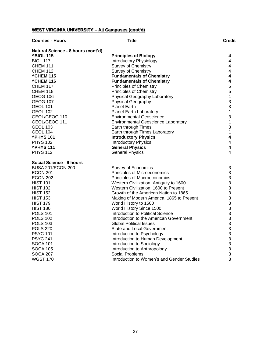# **WEST VIRGINIA UNIVERSITY – All Campuses (cont'd)**

| <b>Courses - Hours</b>             | <b>Title</b>                               | Credit                  |
|------------------------------------|--------------------------------------------|-------------------------|
| Natural Science - 8 hours (cont'd) |                                            |                         |
| <b>^BIOL 115</b>                   | <b>Principles of Biology</b>               | 4                       |
| <b>BIOL 117</b>                    | <b>Introductory Physiology</b>             | 4                       |
| <b>CHEM 111</b>                    | <b>Survey of Chemistry</b>                 | 4                       |
| <b>CHEM 112</b>                    | <b>Survey of Chemistry</b>                 | 4                       |
| <b>^CHEM 115</b>                   | <b>Fundamentals of Chemistry</b>           | 4                       |
| <b>^CHEM 116</b>                   | <b>Fundamentals of Chemistry</b>           | 4                       |
| <b>CHEM 117</b>                    | Principles of Chemistry                    | 5                       |
| <b>CHEM 118</b>                    | <b>Principles of Chemistry</b>             | 5                       |
| GEOG 106                           | Physical Geography Laboratory              | $\mathbf 1$             |
| <b>GEOG 107</b>                    | Physical Geography                         | 3                       |
| <b>GEOL 101</b>                    | <b>Planet Earth</b>                        | 3                       |
| <b>GEOL 102</b>                    | <b>Planet Earth Laboratory</b>             | $\mathbf 1$             |
| GEOL/GEOG 110                      | <b>Environmental Geoscience</b>            | 3                       |
| GEOL/GEOG 111                      | <b>Environmental Geoscience Laboratory</b> | 1                       |
| <b>GEOL 103</b>                    | Earth through Times                        | 3                       |
| GEOL 104                           | Earth through Times Laboratory             | 1                       |
| <b>^PHYS 101</b>                   | <b>Introductory Physics</b>                | 4                       |
| <b>PHYS 102</b>                    | <b>Introductory Physics</b>                | $\overline{\mathbf{4}}$ |
| <b>^PHYS111</b>                    | <b>General Physics</b>                     | $\overline{\mathbf{4}}$ |
| <b>PHYS 112</b>                    | <b>General Physics</b>                     | 4                       |
| Social Science - 9 hours           |                                            |                         |
| <b>BUSA 201/ECON 200</b>           | <b>Survey of Economics</b>                 | 3                       |
| <b>ECON 201</b>                    | Principles of Microeconomics               | 3                       |
| <b>ECON 202</b>                    | Principles of Macroeconomics               | 3                       |
| <b>HIST 101</b>                    | Western Civilization: Antiquity to 1600    | 3                       |
| <b>HIST 102</b>                    | Western Civilization: 1600 to Present      | 3                       |
| <b>HIST 152</b>                    | Growth of the American Nation to 1865      | 3                       |
| <b>HIST 153</b>                    | Making of Modern America, 1865 to Present  | 3                       |
| <b>HIST 179</b>                    | World History to 1500                      | 3                       |
| <b>HIST 180</b>                    | World History Since 1500                   | 3                       |
| <b>POLS 101</b>                    | Introduction to Political Science          | 3                       |
| <b>POLS 102</b>                    | Introduction to the American Government    | 3                       |
| <b>POLS 103</b>                    | <b>Global Political Issues</b>             | 3                       |
| <b>POLS 220</b>                    | State and Local Government                 | 3                       |
| <b>PSYC 101</b>                    | Introduction to Psychology                 | 3                       |
| <b>PSYC 241</b>                    | Introduction to Human Development          | 3                       |
| <b>SOCA 101</b>                    | Introduction to Sociology                  | 3                       |
| SOCA 105                           | Introduction to Anthropology               | 3                       |
| <b>SOCA 207</b>                    | Social Problems                            | 3                       |
| <b>WGST 170</b>                    | Introduction to Women's and Gender Studies | 3                       |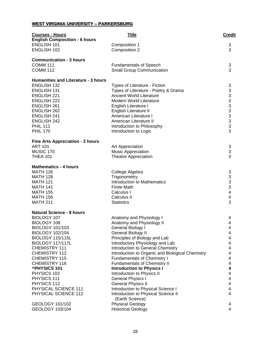# **WEST VIRGINIA UNIVERSITY – PARKERSBURG**

| <b>Courses - Hours</b>                     | <b>Title</b>                                                         | <b>Credit</b>            |
|--------------------------------------------|----------------------------------------------------------------------|--------------------------|
| <b>English Composition - 6 hours</b>       |                                                                      |                          |
| <b>ENGLISH 101</b>                         | Composition 1                                                        | $\sqrt{3}$               |
| <b>ENGLISH 102</b>                         | Composition 2                                                        | 3                        |
| <b>Communication - 3 hours</b>             |                                                                      |                          |
| <b>COMM 111</b>                            | <b>Fundamentals of Speech</b>                                        | 3                        |
| <b>COMM 112</b>                            | <b>Small Group Communication</b>                                     | 3                        |
|                                            |                                                                      |                          |
| <b>Humanities and Literature - 3 hours</b> |                                                                      |                          |
| <b>ENGLISH 132</b>                         | Types of Literature - Fiction                                        | 3                        |
| <b>ENGLISH 131</b>                         | Types of Literature - Poetry & Drama                                 |                          |
| <b>ENGLISH 221</b>                         | <b>Ancient World Literature</b>                                      |                          |
| <b>ENGLISH 222</b>                         | <b>Modern World Literature</b>                                       |                          |
| <b>ENGLISH 261</b>                         | English Literature I                                                 |                          |
| <b>ENGLISH 262</b>                         | English Literature II                                                |                          |
| <b>ENGLISH 241</b>                         | American Literature I                                                |                          |
| <b>ENGLISH 242</b>                         | American Literature II                                               | 3333333333               |
| <b>PHIL 111</b>                            | Introduction to Philosophy                                           |                          |
| <b>PHIL 170</b>                            | Introduction to Logic                                                |                          |
| <b>Fine Arts Appreciation - 3 hours</b>    |                                                                      |                          |
| <b>ART 101</b>                             | Art Appreciation                                                     | 3                        |
| MUSIC 170                                  | <b>Music Appreciation</b>                                            | 3                        |
| <b>THEA 101</b>                            | <b>Theatre Appreciation</b>                                          | 3                        |
|                                            |                                                                      |                          |
| <b>Mathematics - 4 hours</b>               |                                                                      |                          |
| <b>MATH 126</b>                            | College Algebra                                                      | 3                        |
| <b>MATH 128</b>                            | Trigonometry                                                         | 3                        |
| <b>MATH 121</b><br><b>MATH 141</b>         | Introduction to Mathematics<br><b>Finite Math</b>                    | $\frac{3}{3}$            |
| <b>MATH 155</b>                            | Calculus I                                                           | $\overline{\mathbf{4}}$  |
| <b>MATH 156</b>                            | Calculus II                                                          | 4                        |
| <b>MATH 211</b>                            | <b>Statistics</b>                                                    | 3                        |
|                                            |                                                                      |                          |
| <b>Natural Science - 8 hours</b>           |                                                                      |                          |
| BIOLOGY 107                                | Anatomy and Physiology I                                             | 4                        |
| BIOLOGY 108                                | Anatomy and Physiology II                                            | 4                        |
| <b>BIOLOGY 101/103</b>                     | General Biology I                                                    | 4                        |
| <b>BIOLOGY 102/104</b>                     | <b>General Biology II</b>                                            | 4                        |
| <b>BIOLOGY 115/115L</b>                    | Principles of Biology and Lab                                        | 4                        |
| <b>BIOLOGY 117/117L</b><br>CHEMISTRY 111   | Introductory Physiology and Lab<br>Introduction to General Chemistry | 4<br>4                   |
| CHEMISTRY 112                              | Introduction to Organic and Biological Chemistry                     | 4                        |
| CHEMISTRY 115                              | <b>Fundamentals of Chemistry I</b>                                   | 4                        |
| CHEMISTRY 116                              | Fundamentals of Chemistry II                                         | 4                        |
| <b>^PHYSICS 101</b>                        | <b>Introduction to Physics I</b>                                     | 4                        |
| PHYSICS 102                                | Introduction to Physics II                                           | 4                        |
| PHYSICS 111                                | <b>General Physics I</b>                                             | $\overline{\mathbf{4}}$  |
| PHYSICS 112                                | <b>General Physics II</b>                                            | $\overline{\mathcal{A}}$ |
| PHYSICAL SCIENCE 111                       | Introduction to Physical Science I                                   | $\overline{\mathbf{4}}$  |
| PHYSICAL SCIENCE 112                       | Introduction to Physical Science II                                  | 4                        |
|                                            | (Earth Science)                                                      |                          |
| GEOLOGY 101/102                            | <b>Physical Geology</b>                                              | 4                        |
| GEOLOGY 103/104                            | <b>Historical Geology</b>                                            | 4                        |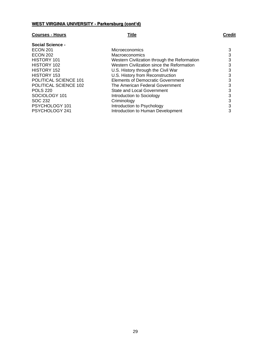# **WEST VIRGINIA UNIVERSITY - Parkersburg (cont'd)**

# **Courses - Hours Title Credit**

| <b>Social Science -</b> |                                              |   |
|-------------------------|----------------------------------------------|---|
| <b>ECON 201</b>         | Microeconomics                               | 3 |
| <b>ECON 202</b>         | <b>Macroeconomics</b>                        | 3 |
| HISTORY 101             | Western Civilization through the Reformation | 3 |
| HISTORY 102             | Western Civilization since the Reformation   | 3 |
| HISTORY 152             | U.S. History through the Civil War           | 3 |
| HISTORY 153             | U.S. History from Reconstruction             | 3 |
| POLITICAL SCIENCE 101   | <b>Elements of Democratic Government</b>     | 3 |
| POLITICAL SCIENCE 102   | The American Federal Government              | 3 |
| <b>POLS 220</b>         | <b>State and Local Government</b>            | 3 |
| SOCIOLOGY 101           | Introduction to Sociology                    | 3 |
| SOC 232                 | Criminology                                  | 3 |
| PSYCHOLOGY 101          | Introduction to Psychology                   | 3 |
| PSYCHOLOGY 241          | Introduction to Human Development            | 3 |